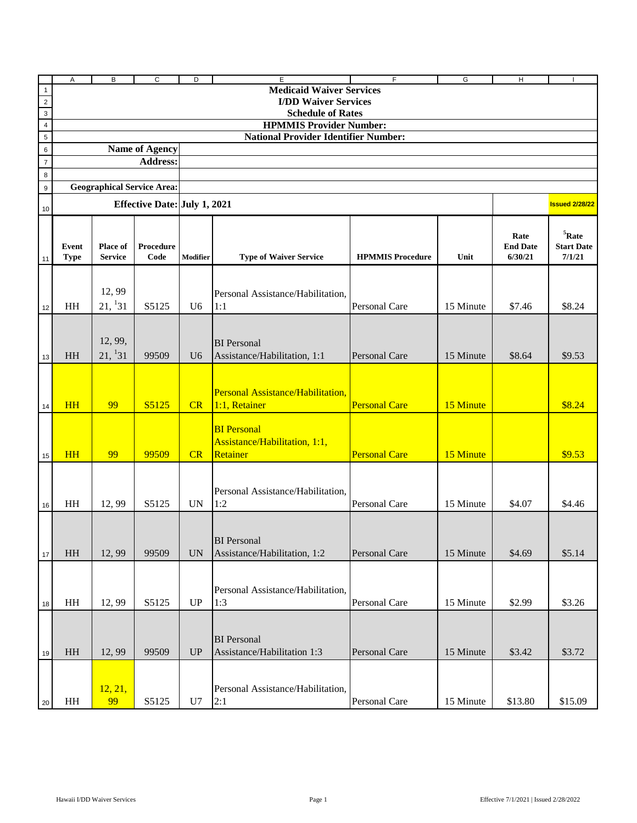|                | Α                      | B                          | С                                   | D              | E                                                               | F                       | G         | H                                  | $\mathbf{I}$                                 |
|----------------|------------------------|----------------------------|-------------------------------------|----------------|-----------------------------------------------------------------|-------------------------|-----------|------------------------------------|----------------------------------------------|
| $\mathbf{1}$   |                        |                            |                                     |                | <b>Medicaid Waiver Services</b>                                 |                         |           |                                    |                                              |
| $\overline{2}$ |                        |                            |                                     |                | <b>I/DD Waiver Services</b>                                     |                         |           |                                    |                                              |
| $\overline{3}$ |                        |                            |                                     |                | <b>Schedule of Rates</b>                                        |                         |           |                                    |                                              |
| $\overline{4}$ |                        |                            |                                     |                | <b>HPMMIS Provider Number:</b>                                  |                         |           |                                    |                                              |
| 5              |                        |                            |                                     |                | <b>National Provider Identifier Number:</b>                     |                         |           |                                    |                                              |
| 6              |                        |                            | <b>Name of Agency</b>               |                |                                                                 |                         |           |                                    |                                              |
| $\overline{7}$ |                        |                            | <b>Address:</b>                     |                |                                                                 |                         |           |                                    |                                              |
| $\,8\,$        |                        |                            |                                     |                |                                                                 |                         |           |                                    |                                              |
| 9              |                        |                            | <b>Geographical Service Area:</b>   |                |                                                                 |                         |           |                                    |                                              |
| 10             |                        |                            | <b>Effective Date: July 1, 2021</b> |                |                                                                 |                         |           |                                    | <b>Issued 2/28/22</b>                        |
|                |                        |                            |                                     |                |                                                                 |                         |           |                                    |                                              |
| 11             | Event<br><b>Type</b>   | Place of<br><b>Service</b> | Procedure<br>Code                   | Modifier       | <b>Type of Waiver Service</b>                                   | <b>HPMMIS Procedure</b> | Unit      | Rate<br><b>End Date</b><br>6/30/21 | ${}^{5}$ Rate<br><b>Start Date</b><br>7/1/21 |
|                |                        |                            |                                     |                |                                                                 |                         |           |                                    |                                              |
|                |                        | 12,99                      |                                     |                |                                                                 |                         |           |                                    |                                              |
|                |                        | 21, 131                    |                                     |                | Personal Assistance/Habilitation,                               |                         |           |                                    |                                              |
| 12             | HH                     |                            | S5125                               | U <sub>6</sub> | 1:1                                                             | Personal Care           | 15 Minute | \$7.46                             | \$8.24                                       |
| 13             | HH                     | 12, 99,<br>21, 131         | 99509                               | U <sub>6</sub> | <b>BI</b> Personal<br>Assistance/Habilitation, 1:1              | Personal Care           | 15 Minute | \$8.64                             | \$9.53                                       |
|                |                        |                            |                                     |                |                                                                 |                         |           |                                    |                                              |
| 14             | <b>HH</b>              | 99                         | S5125                               | CR             | Personal Assistance/Habilitation,<br>$1:1$ , Retainer           | <b>Personal Care</b>    | 15 Minute |                                    | \$8.24                                       |
| 15             | <b>HH</b>              | 99                         | 99509                               | CR             | <b>BI</b> Personal<br>Assistance/Habilitation, 1:1,<br>Retainer | <b>Personal Care</b>    | 15 Minute |                                    | \$9.53                                       |
| 16             | HH                     | 12,99                      | S5125                               | <b>UN</b>      | Personal Assistance/Habilitation,<br>1:2                        | Personal Care           | 15 Minute | \$4.07                             | \$4.46                                       |
| $17\,$         | $\rm HH$               | 12,99                      | 99509                               | <b>UN</b>      | <b>BI</b> Personal<br>Assistance/Habilitation, 1:2              | Personal Care           | 15 Minute | \$4.69                             | \$5.14                                       |
| 18             | $\mathbf{H}\mathbf{H}$ | 12,99                      | S5125                               | <b>UP</b>      | Personal Assistance/Habilitation,<br>1:3                        | Personal Care           | 15 Minute | \$2.99                             | \$3.26                                       |
| 19             | HH                     | 12,99                      | 99509                               | <b>UP</b>      | <b>BI</b> Personal<br>Assistance/Habilitation 1:3               | Personal Care           | 15 Minute | \$3.42                             | \$3.72                                       |
| 20             | HH                     | 12, 21,<br>99              | S5125                               | U7             | Personal Assistance/Habilitation,<br>2:1                        | Personal Care           | 15 Minute | \$13.80                            | \$15.09                                      |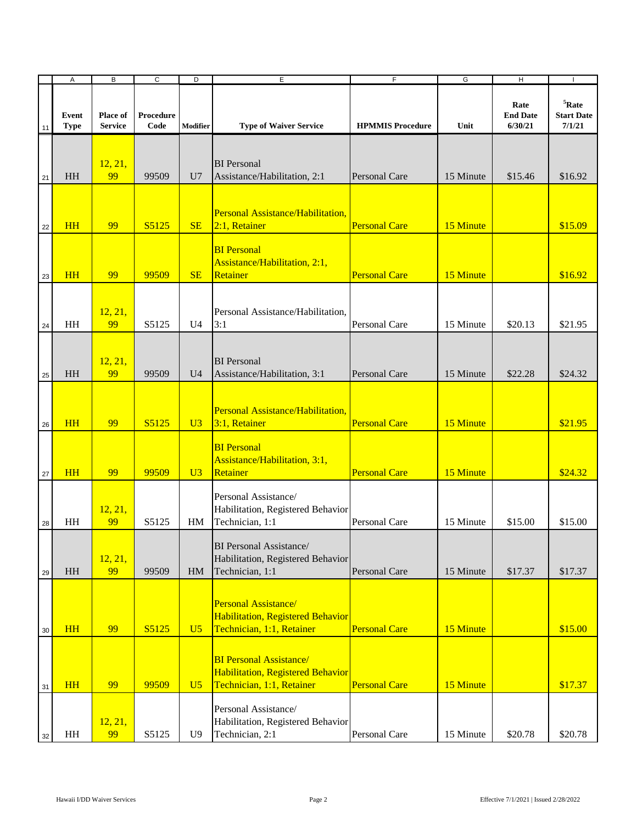|    | $\boldsymbol{\mathsf{A}}$ | B                          | $\overline{c}$    | D              | E                                                                                                | $\overline{F}$          | G         | $\overline{H}$                     |                                         |
|----|---------------------------|----------------------------|-------------------|----------------|--------------------------------------------------------------------------------------------------|-------------------------|-----------|------------------------------------|-----------------------------------------|
| 11 | Event<br><b>Type</b>      | Place of<br><b>Service</b> | Procedure<br>Code | Modifier       | <b>Type of Waiver Service</b>                                                                    | <b>HPMMIS Procedure</b> | Unit      | Rate<br><b>End Date</b><br>6/30/21 | $5$ Rate<br><b>Start Date</b><br>7/1/21 |
| 21 | HH                        | 12, 21,<br>99              | 99509             | U <sub>7</sub> | <b>BI</b> Personal<br>Assistance/Habilitation, 2:1                                               | Personal Care           | 15 Minute | \$15.46                            | \$16.92                                 |
| 22 | HH                        | 99                         | S5125             | SE             | Personal Assistance/Habilitation,<br>$2:1$ , Retainer                                            | <b>Personal Care</b>    | 15 Minute |                                    | \$15.09                                 |
| 23 | HH                        | 99                         | 99509             | SE             | <b>BI</b> Personal<br>Assistance/Habilitation, 2:1,<br>Retainer                                  | <b>Personal Care</b>    | 15 Minute |                                    | \$16.92                                 |
| 24 | HH                        | 12, 21,<br>99              | S5125             | U <sub>4</sub> | Personal Assistance/Habilitation,<br>3:1                                                         | Personal Care           | 15 Minute | \$20.13                            | \$21.95                                 |
| 25 | HH                        | 12, 21,<br>99              | 99509             | U <sub>4</sub> | <b>BI</b> Personal<br>Assistance/Habilitation, 3:1                                               | Personal Care           | 15 Minute | \$22.28                            | \$24.32                                 |
| 26 | <b>HH</b>                 | 99                         | S5125             | U3             | Personal Assistance/Habilitation,<br>$3:1$ , Retainer                                            | <b>Personal Care</b>    | 15 Minute |                                    | \$21.95                                 |
| 27 | <b>HH</b>                 | 99                         | 99509             | U3             | <b>BI</b> Personal<br>Assistance/Habilitation, 3:1,<br>Retainer                                  | <b>Personal Care</b>    | 15 Minute |                                    | \$24.32                                 |
| 28 | HH                        | 12, 21,<br>99              | S5125             | HM             | Personal Assistance/<br>Habilitation, Registered Behavior<br>Technician, 1:1                     | Personal Care           | 15 Minute | \$15.00                            | \$15.00                                 |
| 29 | HH                        | 12, 21,<br>99              | 99509             | HM             | <b>BI</b> Personal Assistance/<br>Habilitation, Registered Behavior<br>Technician, 1:1           | <b>Personal Care</b>    | 15 Minute | \$17.37                            | \$17.37                                 |
| 30 | <b>HH</b>                 | 99                         | S5125             | U <sub>5</sub> | Personal Assistance/<br>Habilitation, Registered Behavior<br>Technician, 1:1, Retainer           | <b>Personal Care</b>    | 15 Minute |                                    | \$15.00                                 |
| 31 | <b>HH</b>                 | 99                         | 99509             | U <sub>5</sub> | <b>BI Personal Assistance/</b><br>Habilitation, Registered Behavior<br>Technician, 1:1, Retainer | <b>Personal Care</b>    | 15 Minute |                                    | \$17.37                                 |
| 32 | HH                        | 12, 21,<br>99              | S5125             | U <sub>9</sub> | Personal Assistance/<br>Habilitation, Registered Behavior<br>Technician, 2:1                     | Personal Care           | 15 Minute | \$20.78                            | \$20.78                                 |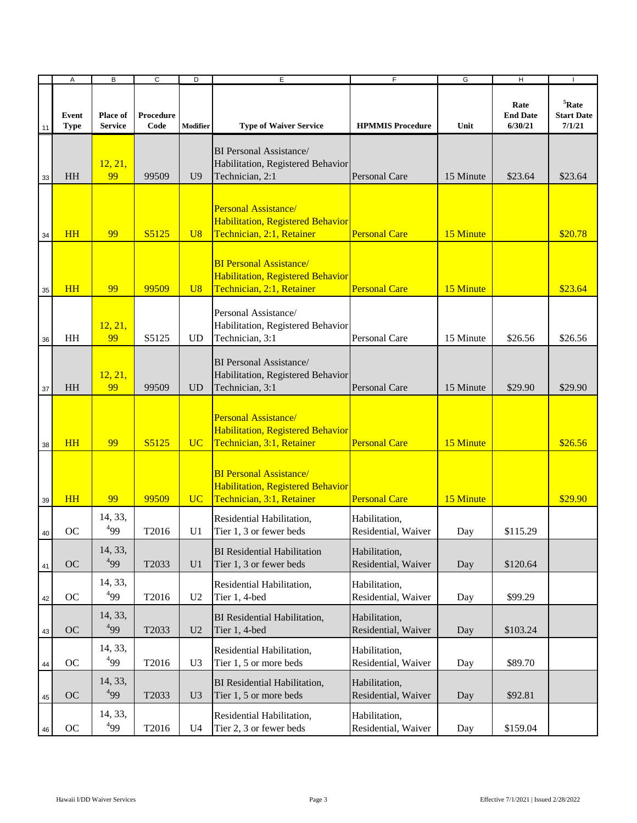|        | A                    | B                          | $\overline{c}$    | D               | E                                                                                                | $\overline{F}$                       | G         | $\overline{H}$                     | $\overline{\phantom{a}}$                     |
|--------|----------------------|----------------------------|-------------------|-----------------|--------------------------------------------------------------------------------------------------|--------------------------------------|-----------|------------------------------------|----------------------------------------------|
| 11     | Event<br><b>Type</b> | Place of<br><b>Service</b> | Procedure<br>Code | Modifier        | <b>Type of Waiver Service</b>                                                                    | <b>HPMMIS Procedure</b>              | Unit      | Rate<br><b>End Date</b><br>6/30/21 | ${}^{5}$ Rate<br><b>Start Date</b><br>7/1/21 |
| 33     | HH                   | 12, 21,<br>99              | 99509             | U <sub>9</sub>  | <b>BI</b> Personal Assistance/<br>Habilitation, Registered Behavior<br>Technician, 2:1           | <b>Personal Care</b>                 | 15 Minute | \$23.64                            | \$23.64                                      |
| 34     | <b>HH</b>            | 99                         | S5125             | U8              | Personal Assistance/<br>Habilitation, Registered Behavior<br>Technician, 2:1, Retainer           | <b>Personal Care</b>                 | 15 Minute |                                    | \$20.78                                      |
| 35     | <b>HH</b>            | 99                         | 99509             | U8              | <b>BI Personal Assistance/</b><br>Habilitation, Registered Behavior<br>Technician, 2:1, Retainer | <b>Personal Care</b>                 | 15 Minute |                                    | \$23.64                                      |
| 36     | HH                   | 12, 21,<br>99              | S5125             | UD.             | Personal Assistance/<br>Habilitation, Registered Behavior<br>Technician, 3:1                     | Personal Care                        | 15 Minute | \$26.56                            | \$26.56                                      |
| 37     | <b>HH</b>            | 12, 21,<br>99              | 99509             | <b>UD</b>       | <b>BI</b> Personal Assistance/<br>Habilitation, Registered Behavior<br>Technician, 3:1           | <b>Personal Care</b>                 | 15 Minute | \$29.90                            | \$29.90                                      |
| 38     | HH                   | 99                         | S5125             | <b>UC</b>       | Personal Assistance/<br>Habilitation, Registered Behavior<br>Technician, 3:1, Retainer           | <b>Personal Care</b>                 | 15 Minute |                                    | \$26.56                                      |
| 39     | <b>HH</b>            | 99                         | 99509             | UC <sup>1</sup> | <b>BI Personal Assistance/</b><br>Habilitation, Registered Behavior<br>Technician, 3:1, Retainer | <b>Personal Care</b>                 | 15 Minute |                                    | \$29.90                                      |
| 40     | OC                   | 14, 33,<br>$^{4}99$        | T2016             | U <sub>1</sub>  | Residential Habilitation,<br>Tier 1, 3 or fewer beds                                             | Habilitation,<br>Residential, Waiver | Day       | \$115.29                           |                                              |
| 41     | OC                   | 14, 33,<br>499             | T2033             | U <sub>1</sub>  | <b>BI</b> Residential Habilitation<br>Tier 1, 3 or fewer beds                                    | Habilitation,<br>Residential, Waiver | Day       | \$120.64                           |                                              |
| $42\,$ | OC                   | 14, 33,<br>$^{4}99$        | T2016             | U <sub>2</sub>  | Residential Habilitation,<br>Tier 1, 4-bed                                                       | Habilitation,<br>Residential, Waiver | Day       | \$99.29                            |                                              |
| 43     | <b>OC</b>            | 14, 33,<br>$^{4}99$        | T2033             | U <sub>2</sub>  | BI Residential Habilitation,<br>Tier 1, 4-bed                                                    | Habilitation,<br>Residential, Waiver | Day       | \$103.24                           |                                              |
| 44     | OC                   | 14, 33,<br>499             | T2016             | U <sub>3</sub>  | Residential Habilitation,<br>Tier 1, 5 or more beds                                              | Habilitation,<br>Residential, Waiver | Day       | \$89.70                            |                                              |
| 45     | <b>OC</b>            | 14, 33,<br>499             | T2033             | U <sub>3</sub>  | <b>BI</b> Residential Habilitation,<br>Tier 1, 5 or more beds                                    | Habilitation,<br>Residential, Waiver | Day       | \$92.81                            |                                              |
| 46     | OC                   | 14, 33,<br>$^{4}99$        | T2016             | U <sub>4</sub>  | Residential Habilitation,<br>Tier 2, 3 or fewer beds                                             | Habilitation,<br>Residential, Waiver | Day       | \$159.04                           |                                              |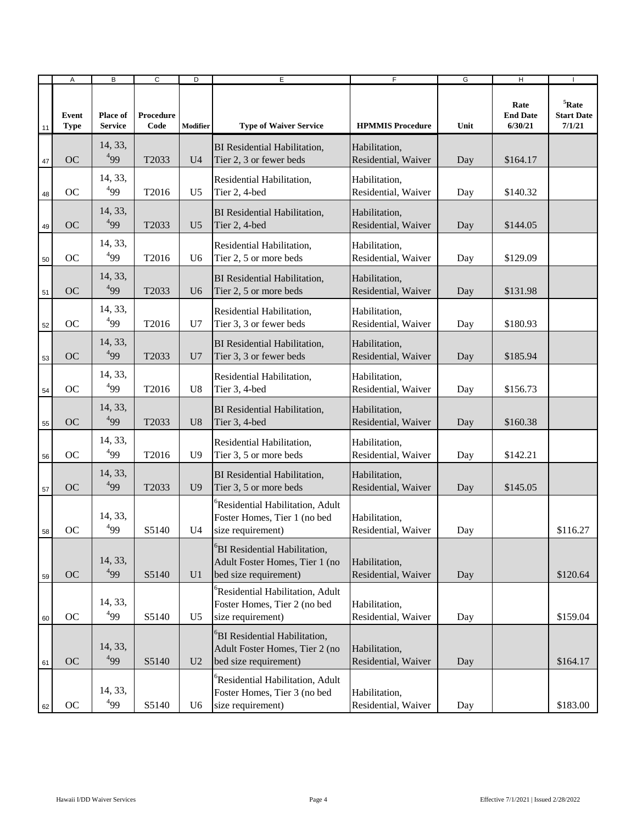|    | Α                    | B                                 | $\overline{c}$    | D              | E                                                                                                    | $\overline{F}$                       | G    | H                                  | П                                            |
|----|----------------------|-----------------------------------|-------------------|----------------|------------------------------------------------------------------------------------------------------|--------------------------------------|------|------------------------------------|----------------------------------------------|
| 11 | Event<br><b>Type</b> | <b>Place of</b><br><b>Service</b> | Procedure<br>Code | Modifier       | <b>Type of Waiver Service</b>                                                                        | <b>HPMMIS Procedure</b>              | Unit | Rate<br><b>End Date</b><br>6/30/21 | ${}^{5}$ Rate<br><b>Start Date</b><br>7/1/21 |
| 47 | <b>OC</b>            | 14, 33,<br>$^{4}99$               | T2033             | U <sub>4</sub> | <b>BI</b> Residential Habilitation,<br>Tier 2, 3 or fewer beds                                       | Habilitation,<br>Residential, Waiver | Day  | \$164.17                           |                                              |
| 48 | OC                   | 14, 33,<br>499                    | T2016             | U <sub>5</sub> | Residential Habilitation,<br>Tier 2, 4-bed                                                           | Habilitation,<br>Residential, Waiver | Day  | \$140.32                           |                                              |
| 49 | <b>OC</b>            | 14, 33,<br>$^{4}99$               | T2033             | U <sub>5</sub> | <b>BI</b> Residential Habilitation,<br>Tier 2, 4-bed                                                 | Habilitation,<br>Residential, Waiver | Day  | \$144.05                           |                                              |
| 50 | OC                   | 14, 33,<br>$^{4}99$               | T2016             | U <sub>6</sub> | Residential Habilitation,<br>Tier 2, 5 or more beds                                                  | Habilitation,<br>Residential, Waiver | Day  | \$129.09                           |                                              |
| 51 | <b>OC</b>            | 14, 33,<br>$^{4}99$               | T2033             | U <sub>6</sub> | <b>BI</b> Residential Habilitation,<br>Tier 2, 5 or more beds                                        | Habilitation,<br>Residential, Waiver | Day  | \$131.98                           |                                              |
| 52 | OC                   | 14, 33,<br>$^{4}99$               | T2016             | U <sub>7</sub> | Residential Habilitation,<br>Tier 3, 3 or fewer beds                                                 | Habilitation,<br>Residential, Waiver | Day  | \$180.93                           |                                              |
| 53 | <b>OC</b>            | 14, 33,<br>499                    | T2033             | U7             | <b>BI</b> Residential Habilitation,<br>Tier 3, 3 or fewer beds                                       | Habilitation,<br>Residential, Waiver | Day  | \$185.94                           |                                              |
| 54 | <b>OC</b>            | 14, 33,<br>499                    | T2016             | U <sub>8</sub> | Residential Habilitation,<br>Tier 3, 4-bed                                                           | Habilitation,<br>Residential, Waiver | Day  | \$156.73                           |                                              |
| 55 | OC                   | 14, 33,<br>$^{4}99$               | T2033             | U <sub>8</sub> | <b>BI</b> Residential Habilitation,<br>Tier 3, 4-bed                                                 | Habilitation,<br>Residential, Waiver | Day  | \$160.38                           |                                              |
| 56 | OC                   | 14, 33,<br>$^{4}99$               | T2016             | U <sub>9</sub> | Residential Habilitation,<br>Tier 3, 5 or more beds                                                  | Habilitation,<br>Residential, Waiver | Day  | \$142.21                           |                                              |
| 57 | <b>OC</b>            | 14, 33,<br>499                    | T2033             | U <sub>9</sub> | <b>BI</b> Residential Habilitation,<br>Tier 3, 5 or more beds                                        | Habilitation,<br>Residential, Waiver | Day  | \$145.05                           |                                              |
| 58 | OC                   | 14, 33,<br>499                    | S5140             | U4             | <sup>o</sup> Residential Habilitation, Adult<br>Foster Homes, Tier 1 (no bed<br>size requirement)    | Habilitation,<br>Residential, Waiver | Day  |                                    | \$116.27                                     |
| 59 | OC                   | 14, 33,<br>499                    | S5140             | U1             | <sup>6</sup> BI Residential Habilitation,<br>Adult Foster Homes, Tier 1 (no<br>bed size requirement) | Habilitation,<br>Residential, Waiver | Day  |                                    | \$120.64                                     |
| 60 | OC                   | 14, 33,<br>499                    | S5140             | U <sub>5</sub> | <sup>6</sup> Residential Habilitation, Adult<br>Foster Homes, Tier 2 (no bed<br>size requirement)    | Habilitation,<br>Residential, Waiver | Day  |                                    | \$159.04                                     |
| 61 | <b>OC</b>            | 14, 33,<br>499                    | S5140             | U <sub>2</sub> | <sup>o</sup> BI Residential Habilitation,<br>Adult Foster Homes, Tier 2 (no<br>bed size requirement) | Habilitation,<br>Residential, Waiver | Day  |                                    | \$164.17                                     |
| 62 | OC                   | 14, 33,<br>$^{4}99$               | S5140             | U <sub>6</sub> | <sup>6</sup> Residential Habilitation, Adult<br>Foster Homes, Tier 3 (no bed<br>size requirement)    | Habilitation,<br>Residential, Waiver | Day  |                                    | \$183.00                                     |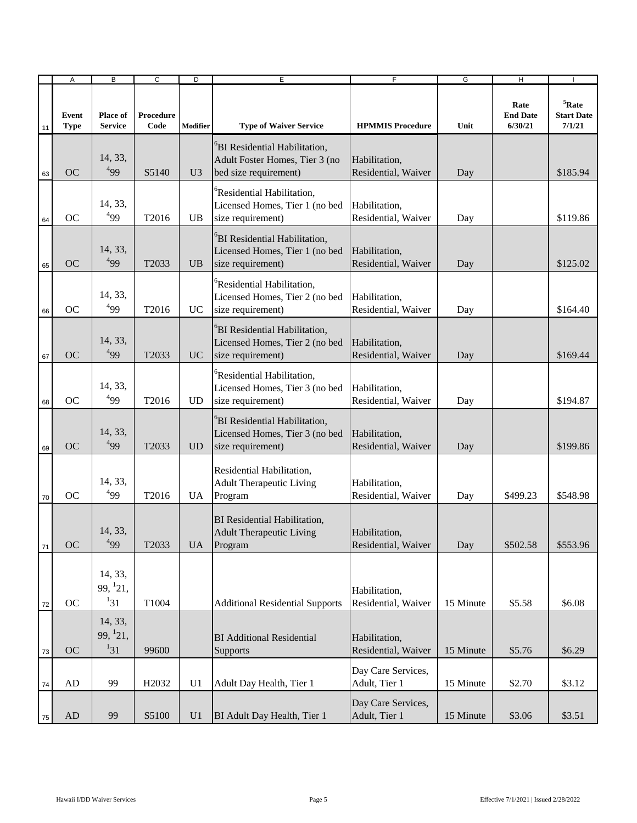|          | Α                    | B                                | C                 | D              | E                                                                                                    | F                                    | G         | H                                  |                                              |
|----------|----------------------|----------------------------------|-------------------|----------------|------------------------------------------------------------------------------------------------------|--------------------------------------|-----------|------------------------------------|----------------------------------------------|
| 11       | Event<br><b>Type</b> | Place of<br><b>Service</b>       | Procedure<br>Code | Modifier       | <b>Type of Waiver Service</b>                                                                        | <b>HPMMIS Procedure</b>              | Unit      | Rate<br><b>End Date</b><br>6/30/21 | ${}^{5}$ Rate<br><b>Start Date</b><br>7/1/21 |
| 63       | <b>OC</b>            | 14, 33,<br>499                   | S5140             | U <sub>3</sub> | <sup>6</sup> BI Residential Habilitation,<br>Adult Foster Homes, Tier 3 (no<br>bed size requirement) | Habilitation,<br>Residential, Waiver | Day       |                                    | \$185.94                                     |
| 64       | OC                   | 14, 33,<br>499                   | T2016             | <b>UB</b>      | <sup>o</sup> Residential Habilitation,<br>Licensed Homes, Tier 1 (no bed<br>size requirement)        | Habilitation,<br>Residential, Waiver | Day       |                                    | \$119.86                                     |
| 65       | <b>OC</b>            | 14, 33,<br>499                   | T2033             | <b>UB</b>      | <sup>o</sup> BI Residential Habilitation,<br>Licensed Homes, Tier 1 (no bed<br>size requirement)     | Habilitation,<br>Residential, Waiver | Day       |                                    | \$125.02                                     |
| 66       | <b>OC</b>            | 14, 33,<br>$^{4}99$              | T2016             | <b>UC</b>      | <sup>6</sup> Residential Habilitation,<br>Licensed Homes, Tier 2 (no bed<br>size requirement)        | Habilitation,<br>Residential, Waiver | Day       |                                    | \$164.40                                     |
| 67       | <b>OC</b>            | 14, 33,<br>499                   | T <sub>2033</sub> | UC             | <sup>6</sup> BI Residential Habilitation,<br>Licensed Homes, Tier 2 (no bed<br>size requirement)     | Habilitation,<br>Residential, Waiver | Day       |                                    | \$169.44                                     |
| 68       | <b>OC</b>            | 14, 33,<br>499                   | T2016             | <b>UD</b>      | <sup>6</sup> Residential Habilitation,<br>Licensed Homes, Tier 3 (no bed<br>size requirement)        | Habilitation,<br>Residential, Waiver | Day       |                                    | \$194.87                                     |
| 69       | <b>OC</b>            | 14, 33,<br>$^{4}99$              | T2033             | <b>UD</b>      | <sup>6</sup> BI Residential Habilitation,<br>Licensed Homes, Tier 3 (no bed<br>size requirement)     | Habilitation,<br>Residential, Waiver | Day       |                                    | \$199.86                                     |
| 70       | <b>OC</b>            | 14, 33,<br>499                   | T2016             | UA.            | Residential Habilitation,<br><b>Adult Therapeutic Living</b><br>Program                              | Habilitation,<br>Residential, Waiver | Day       | \$499.23                           | \$548.98                                     |
| $\bf 71$ | OC                   | 14, 33,<br>$^{4}99$              | T2033             | <b>UA</b>      | <b>BI</b> Residential Habilitation,<br><b>Adult Therapeutic Living</b><br>Program                    | Habilitation,<br>Residential, Waiver | Day       | \$502.58                           | \$553.96                                     |
| 72       | OC                   | 14, 33,<br>99, 121,<br>$1_{31}$  | T1004             |                | <b>Additional Residential Supports</b>                                                               | Habilitation,<br>Residential, Waiver | 15 Minute | \$5.58                             | \$6.08                                       |
| $73\,$   | OC                   | 14, 33,<br>99, $^{1}21$ ,<br>131 | 99600             |                | <b>BI</b> Additional Residential<br>Supports                                                         | Habilitation,<br>Residential, Waiver | 15 Minute | \$5.76                             | \$6.29                                       |
| 74       | AD                   | 99                               | H <sub>2032</sub> | U1             | Adult Day Health, Tier 1                                                                             | Day Care Services,<br>Adult, Tier 1  | 15 Minute | \$2.70                             | \$3.12                                       |
| 75       | $\mbox{AD}$          | 99                               | S5100             | U <sub>1</sub> | BI Adult Day Health, Tier 1                                                                          | Day Care Services,<br>Adult, Tier 1  | 15 Minute | \$3.06                             | \$3.51                                       |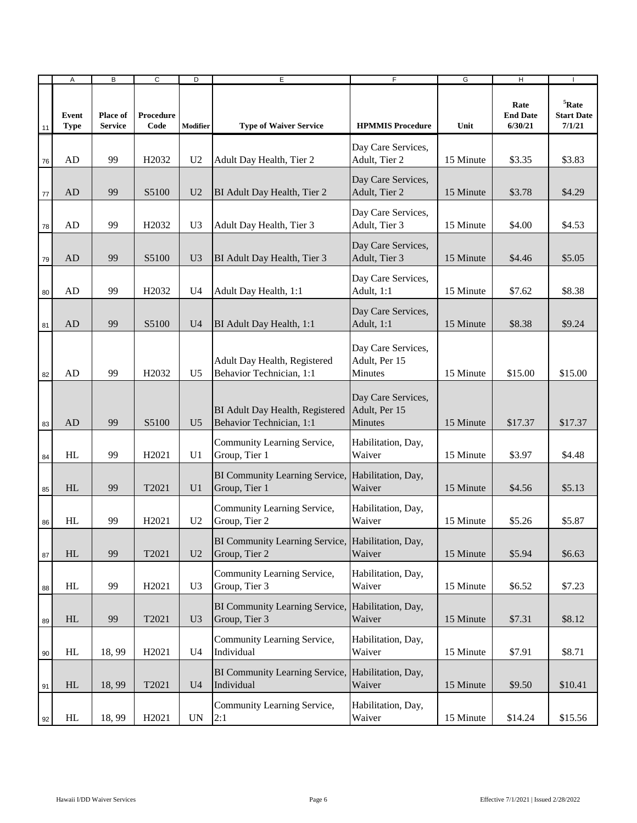|    | Α                    | B                          | $\overline{c}$    | D                        | E                                                                  | $\overline{F}$                                 | G         | Ξ                                  |                                              |
|----|----------------------|----------------------------|-------------------|--------------------------|--------------------------------------------------------------------|------------------------------------------------|-----------|------------------------------------|----------------------------------------------|
| 11 | Event<br><b>Type</b> | Place of<br><b>Service</b> | Procedure<br>Code | Modifier                 | <b>Type of Waiver Service</b>                                      | <b>HPMMIS Procedure</b>                        | Unit      | Rate<br><b>End Date</b><br>6/30/21 | ${}^{5}$ Rate<br><b>Start Date</b><br>7/1/21 |
| 76 | AD                   | 99                         | H <sub>2032</sub> | U <sub>2</sub>           | Adult Day Health, Tier 2                                           | Day Care Services,<br>Adult, Tier 2            | 15 Minute | \$3.35                             | \$3.83                                       |
| 77 | AD                   | 99                         | S5100             | U <sub>2</sub>           | BI Adult Day Health, Tier 2                                        | Day Care Services,<br>Adult, Tier 2            | 15 Minute | \$3.78                             | \$4.29                                       |
| 78 | AD                   | 99                         | H <sub>2032</sub> | U <sub>3</sub>           | Adult Day Health, Tier 3                                           | Day Care Services,<br>Adult, Tier 3            | 15 Minute | \$4.00                             | \$4.53                                       |
| 79 | AD                   | 99                         | S5100             | U <sub>3</sub>           | BI Adult Day Health, Tier 3                                        | Day Care Services,<br>Adult, Tier 3            | 15 Minute | \$4.46                             | \$5.05                                       |
| 80 | AD                   | 99                         | H <sub>2032</sub> | U4                       | Adult Day Health, 1:1                                              | Day Care Services,<br>Adult, 1:1               | 15 Minute | \$7.62                             | \$8.38                                       |
| 81 | AD                   | 99                         | S5100             | U <sub>4</sub>           | BI Adult Day Health, 1:1                                           | Day Care Services,<br>Adult, 1:1               | 15 Minute | \$8.38                             | \$9.24                                       |
| 82 | AD                   | 99                         | H <sub>2032</sub> | U <sub>5</sub>           | Adult Day Health, Registered<br>Behavior Technician, 1:1           | Day Care Services,<br>Adult, Per 15<br>Minutes | 15 Minute | \$15.00                            | \$15.00                                      |
| 83 | AD                   | 99                         | S5100             | U <sub>5</sub>           | BI Adult Day Health, Registered<br>Behavior Technician, 1:1        | Day Care Services,<br>Adult, Per 15<br>Minutes | 15 Minute | \$17.37                            | \$17.37                                      |
| 84 | HL                   | 99                         | H <sub>2021</sub> | U <sub>1</sub>           | Community Learning Service,<br>Group, Tier 1                       | Habilitation, Day,<br>Waiver                   | 15 Minute | \$3.97                             | \$4.48                                       |
| 85 | HL                   | 99                         | T2021             | U <sub>1</sub>           | BI Community Learning Service, Habilitation, Day,<br>Group, Tier 1 | Waiver                                         | 15 Minute | \$4.56                             | \$5.13                                       |
| 86 | HL                   | 99                         | H <sub>2021</sub> | U <sub>2</sub>           | Community Learning Service,<br>Group, Tier 2                       | Habilitation, Day,<br>Waiver                   | 15 Minute | \$5.26                             | \$5.87                                       |
| 87 | HL                   | 99                         | T2021             | U <sub>2</sub>           | BI Community Learning Service, Habilitation, Day,<br>Group, Tier 2 | Waiver                                         | 15 Minute | \$5.94                             | \$6.63                                       |
| 88 | HL                   | 99                         | H2021             | U <sub>3</sub>           | Community Learning Service,<br>Group, Tier 3                       | Habilitation, Day,<br>Waiver                   | 15 Minute | \$6.52                             | \$7.23                                       |
| 89 | HL                   | 99                         | T2021             | U <sub>3</sub>           | BI Community Learning Service, Habilitation, Day,<br>Group, Tier 3 | Waiver                                         | 15 Minute | \$7.31                             | \$8.12                                       |
| 90 | HL                   | 18,99                      | H2021             | U4                       | Community Learning Service,<br>Individual                          | Habilitation, Day,<br>Waiver                   | 15 Minute | \$7.91                             | \$8.71                                       |
| 91 | HL                   | 18,99                      | T2021             | U <sub>4</sub>           | BI Community Learning Service, Habilitation, Day,<br>Individual    | Waiver                                         | 15 Minute | \$9.50                             | \$10.41                                      |
| 92 | HL                   | 18,99                      | H2021             | $\ensuremath{\text{UN}}$ | Community Learning Service,<br>2:1                                 | Habilitation, Day,<br>Waiver                   | 15 Minute | \$14.24                            | \$15.56                                      |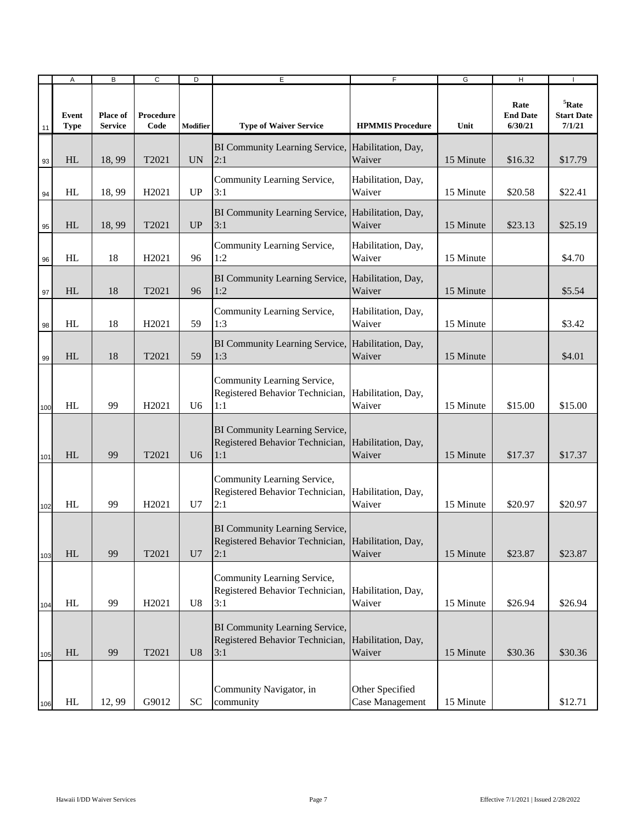|     | Α                    | B                                 | C                 | D              | Е                                                                                           | F                                  | G         | H                                  |                                              |
|-----|----------------------|-----------------------------------|-------------------|----------------|---------------------------------------------------------------------------------------------|------------------------------------|-----------|------------------------------------|----------------------------------------------|
| 11  | Event<br><b>Type</b> | <b>Place of</b><br><b>Service</b> | Procedure<br>Code | Modifier       | <b>Type of Waiver Service</b>                                                               | <b>HPMMIS Procedure</b>            | Unit      | Rate<br><b>End Date</b><br>6/30/21 | ${}^{5}$ Rate<br><b>Start Date</b><br>7/1/21 |
| 93  | HL                   | 18,99                             | T2021             | <b>UN</b>      | BI Community Learning Service, Habilitation, Day,<br>2:1                                    | Waiver                             | 15 Minute | \$16.32                            | \$17.79                                      |
| 94  | HL                   | 18,99                             | H2021             | <b>UP</b>      | Community Learning Service,<br>3:1                                                          | Habilitation, Day,<br>Waiver       | 15 Minute | \$20.58                            | \$22.41                                      |
| 95  | HL                   | 18,99                             | T2021             | UP             | BI Community Learning Service, Habilitation, Day,<br>3:1                                    | Waiver                             | 15 Minute | \$23.13                            | \$25.19                                      |
| 96  | HL                   | 18                                | H <sub>2021</sub> | 96             | Community Learning Service,<br>1:2                                                          | Habilitation, Day,<br>Waiver       | 15 Minute |                                    | \$4.70                                       |
| 97  | HL                   | 18                                | T2021             | 96             | BI Community Learning Service, Habilitation, Day,<br>1:2                                    | Waiver                             | 15 Minute |                                    | \$5.54                                       |
| 98  | HL                   | 18                                | H2021             | 59             | Community Learning Service,<br>1:3                                                          | Habilitation, Day,<br>Waiver       | 15 Minute |                                    | \$3.42                                       |
| 99  | HL                   | 18                                | T2021             | 59             | BI Community Learning Service, Habilitation, Day,<br>1:3                                    | Waiver                             | 15 Minute |                                    | \$4.01                                       |
| 100 | HL                   | 99                                | H <sub>2021</sub> | U6             | Community Learning Service,<br>Registered Behavior Technician,<br>1:1                       | Habilitation, Day,<br>Waiver       | 15 Minute | \$15.00                            | \$15.00                                      |
| 101 | HL                   | 99                                | T2021             | U <sub>6</sub> | BI Community Learning Service,<br>Registered Behavior Technician,<br>1:1                    | Habilitation, Day,<br>Waiver       | 15 Minute | \$17.37                            | \$17.37                                      |
| 102 | HL                   | 99                                | H <sub>2021</sub> | U7             | Community Learning Service,<br>Registered Behavior Technician,<br>2:1                       | Habilitation, Day,<br>Waiver       | 15 Minute | \$20.97                            | \$20.97                                      |
| 103 | HL                   | 99                                | T2021             | U7             | BI Community Learning Service,<br>Registered Behavior Technician, Habilitation, Day,<br>2:1 | Waiver                             | 15 Minute | \$23.87                            | \$23.87                                      |
| 104 | HL                   | 99                                | H2021             | U8             | Community Learning Service,<br>Registered Behavior Technician, Habilitation, Day,<br>3:1    | Waiver                             | 15 Minute | \$26.94                            | \$26.94                                      |
| 105 | HL                   | 99                                | T2021             | U8             | BI Community Learning Service,<br>Registered Behavior Technician, Habilitation, Day,<br>3:1 | Waiver                             | 15 Minute | \$30.36                            | \$30.36                                      |
| 106 | HL                   | 12,99                             | G9012             | ${\rm SC}$     | Community Navigator, in<br>community                                                        | Other Specified<br>Case Management | 15 Minute |                                    | \$12.71                                      |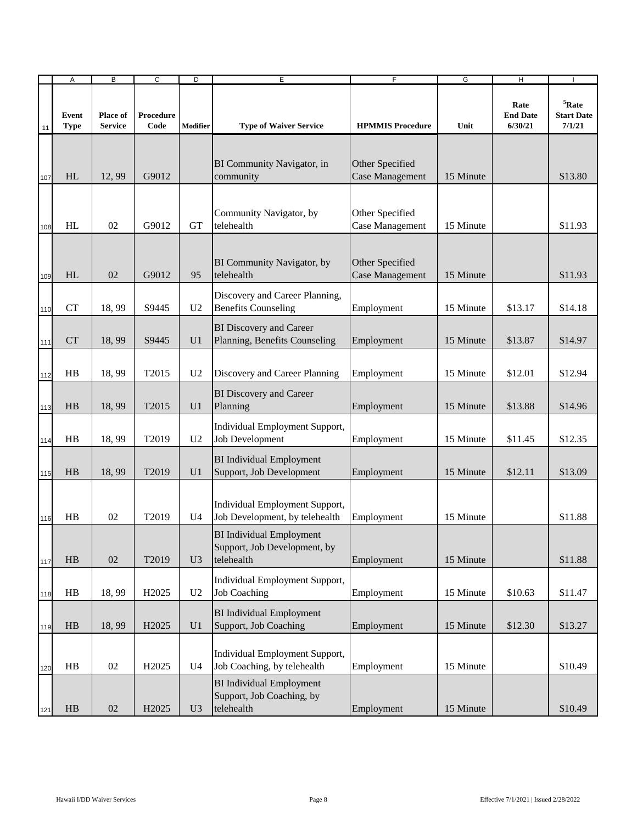|     | Α                    | B                          | C                 | D              | E                                                                             | F                                         | G         | Н                                  |                                              |
|-----|----------------------|----------------------------|-------------------|----------------|-------------------------------------------------------------------------------|-------------------------------------------|-----------|------------------------------------|----------------------------------------------|
| 11  | Event<br><b>Type</b> | Place of<br><b>Service</b> | Procedure<br>Code | Modifier       | <b>Type of Waiver Service</b>                                                 | <b>HPMMIS Procedure</b>                   | Unit      | Rate<br><b>End Date</b><br>6/30/21 | ${}^{5}$ Rate<br><b>Start Date</b><br>7/1/21 |
| 107 | HL                   | 12,99                      | G9012             |                | BI Community Navigator, in<br>community                                       | Other Specified<br><b>Case Management</b> | 15 Minute |                                    | \$13.80                                      |
| 108 | HL                   | 02                         | G9012             | <b>GT</b>      | Community Navigator, by<br>telehealth                                         | Other Specified<br><b>Case Management</b> | 15 Minute |                                    | \$11.93                                      |
| 109 | HL                   | 02                         | G9012             | 95             | BI Community Navigator, by<br>telehealth                                      | Other Specified<br><b>Case Management</b> | 15 Minute |                                    | \$11.93                                      |
| 110 | <b>CT</b>            | 18,99                      | S9445             | U <sub>2</sub> | Discovery and Career Planning,<br><b>Benefits Counseling</b>                  | Employment                                | 15 Minute | \$13.17                            | \$14.18                                      |
| 111 | <b>CT</b>            | 18,99                      | S9445             | U <sub>1</sub> | <b>BI</b> Discovery and Career<br>Planning, Benefits Counseling               | Employment                                | 15 Minute | \$13.87                            | \$14.97                                      |
| 112 | HB                   | 18,99                      | T2015             | U <sub>2</sub> | Discovery and Career Planning                                                 | Employment                                | 15 Minute | \$12.01                            | \$12.94                                      |
| 113 | HB                   | 18,99                      | T2015             | U <sub>1</sub> | <b>BI</b> Discovery and Career<br>Planning                                    | Employment                                | 15 Minute | \$13.88                            | \$14.96                                      |
| 114 | HB                   | 18,99                      | T2019             | U <sub>2</sub> | Individual Employment Support,<br>Job Development                             | Employment                                | 15 Minute | \$11.45                            | \$12.35                                      |
| 115 | HB                   | 18,99                      | T2019             | U <sub>1</sub> | <b>BI</b> Individual Employment<br>Support, Job Development                   | Employment                                | 15 Minute | \$12.11                            | \$13.09                                      |
| 116 | HB                   | 02                         | T2019             | U4             | Individual Employment Support,<br>Job Development, by telehealth              | Employment                                | 15 Minute |                                    | \$11.88                                      |
| 117 | ${\rm HB}$           | $02\,$                     | T2019             | U <sub>3</sub> | <b>BI</b> Individual Employment<br>Support, Job Development, by<br>telehealth | Employment                                | 15 Minute |                                    | \$11.88                                      |
| 118 | HB                   | 18,99                      | H <sub>2025</sub> | U <sub>2</sub> | Individual Employment Support,<br><b>Job Coaching</b>                         | Employment                                | 15 Minute | \$10.63                            | \$11.47                                      |
| 119 | HB                   | 18,99                      | H2025             | U <sub>1</sub> | <b>BI</b> Individual Employment<br>Support, Job Coaching                      | Employment                                | 15 Minute | \$12.30                            | \$13.27                                      |
| 120 | HB                   | 02                         | H <sub>2025</sub> | U4             | Individual Employment Support,<br>Job Coaching, by telehealth                 | Employment                                | 15 Minute |                                    | \$10.49                                      |
| 121 | H B                  | $02\,$                     | H2025             | U <sub>3</sub> | <b>BI</b> Individual Employment<br>Support, Job Coaching, by<br>telehealth    | Employment                                | 15 Minute |                                    | \$10.49                                      |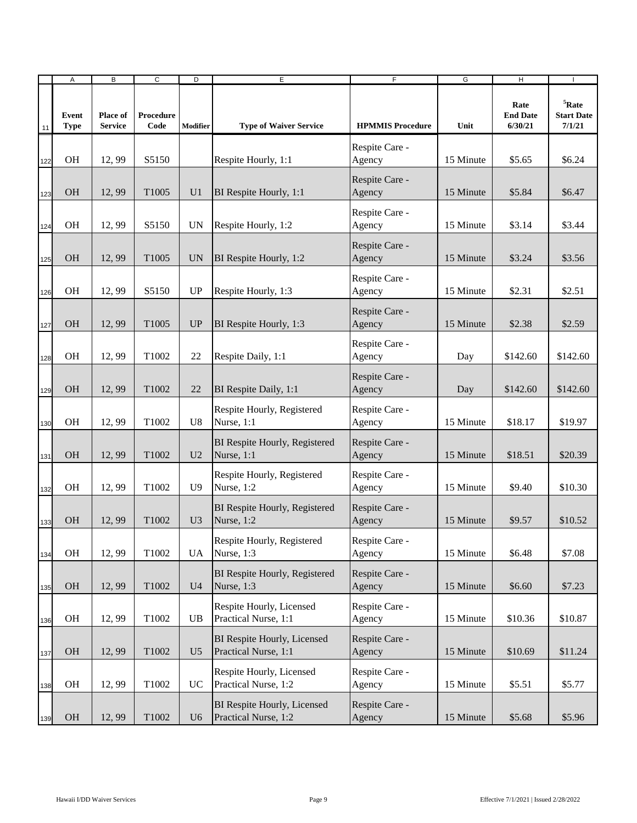|     | Α                    | B                          | $\overline{c}$    | D              | E                                                   | $\overline{F}$           | G         | Ξ                                  | $\mathbf{I}$                            |
|-----|----------------------|----------------------------|-------------------|----------------|-----------------------------------------------------|--------------------------|-----------|------------------------------------|-----------------------------------------|
| 11  | Event<br><b>Type</b> | Place of<br><b>Service</b> | Procedure<br>Code | Modifier       | <b>Type of Waiver Service</b>                       | <b>HPMMIS Procedure</b>  | Unit      | Rate<br><b>End Date</b><br>6/30/21 | $5$ Rate<br><b>Start Date</b><br>7/1/21 |
| 122 | <b>OH</b>            | 12,99                      | S5150             |                | Respite Hourly, 1:1                                 | Respite Care -<br>Agency | 15 Minute | \$5.65                             | \$6.24                                  |
| 123 | <b>OH</b>            | 12,99                      | T1005             | U <sub>1</sub> | BI Respite Hourly, 1:1                              | Respite Care -<br>Agency | 15 Minute | \$5.84                             | \$6.47                                  |
| 124 | <b>OH</b>            | 12,99                      | S5150             | <b>UN</b>      | Respite Hourly, 1:2                                 | Respite Care -<br>Agency | 15 Minute | \$3.14                             | \$3.44                                  |
| 125 | <b>OH</b>            | 12,99                      | T1005             | <b>UN</b>      | BI Respite Hourly, 1:2                              | Respite Care -<br>Agency | 15 Minute | \$3.24                             | \$3.56                                  |
| 126 | OH                   | 12,99                      | S5150             | UP             | Respite Hourly, 1:3                                 | Respite Care -<br>Agency | 15 Minute | \$2.31                             | \$2.51                                  |
| 127 | <b>OH</b>            | 12,99                      | T1005             | <b>UP</b>      | BI Respite Hourly, 1:3                              | Respite Care -<br>Agency | 15 Minute | \$2.38                             | \$2.59                                  |
| 128 | <b>OH</b>            | 12,99                      | T1002             | 22             | Respite Daily, 1:1                                  | Respite Care -<br>Agency | Day       | \$142.60                           | \$142.60                                |
| 129 | <b>OH</b>            | 12,99                      | T1002             | 22             | BI Respite Daily, 1:1                               | Respite Care -<br>Agency | Day       | \$142.60                           | \$142.60                                |
| 130 | <b>OH</b>            | 12,99                      | T1002             | U8             | Respite Hourly, Registered<br>Nurse, 1:1            | Respite Care -<br>Agency | 15 Minute | \$18.17                            | \$19.97                                 |
| 131 | <b>OH</b>            | 12,99                      | T1002             | U <sub>2</sub> | BI Respite Hourly, Registered<br>Nurse, 1:1         | Respite Care -<br>Agency | 15 Minute | \$18.51                            | \$20.39                                 |
| 132 | <b>OH</b>            | 12,99                      | T1002             | U <sup>9</sup> | Respite Hourly, Registered<br>Nurse, 1:2            | Respite Care -<br>Agency | 15 Minute | \$9.40                             | \$10.30                                 |
| 133 | <b>OH</b>            | 12,99                      | T1002             | U <sub>3</sub> | BI Respite Hourly, Registered<br>Nurse, 1:2         | Respite Care -<br>Agency | 15 Minute | \$9.57                             | \$10.52                                 |
| 134 | <b>OH</b>            | 12,99                      | T1002             | <b>UA</b>      | Respite Hourly, Registered<br>Nurse, 1:3            | Respite Care -<br>Agency | 15 Minute | \$6.48                             | \$7.08                                  |
| 135 | <b>OH</b>            | 12,99                      | T1002             | U <sub>4</sub> | BI Respite Hourly, Registered<br>Nurse, 1:3         | Respite Care -<br>Agency | 15 Minute | \$6.60                             | \$7.23                                  |
| 136 | OH                   | 12,99                      | T1002             | UB             | Respite Hourly, Licensed<br>Practical Nurse, 1:1    | Respite Care -<br>Agency | 15 Minute | \$10.36                            | \$10.87                                 |
| 137 | OH                   | 12,99                      | T1002             | U <sub>5</sub> | BI Respite Hourly, Licensed<br>Practical Nurse, 1:1 | Respite Care -<br>Agency | 15 Minute | \$10.69                            | \$11.24                                 |
| 138 | OH                   | 12,99                      | T1002             | <b>UC</b>      | Respite Hourly, Licensed<br>Practical Nurse, 1:2    | Respite Care -<br>Agency | 15 Minute | \$5.51                             | \$5.77                                  |
| 139 | <b>OH</b>            | 12,99                      | T1002             | U <sub>6</sub> | BI Respite Hourly, Licensed<br>Practical Nurse, 1:2 | Respite Care -<br>Agency | 15 Minute | \$5.68                             | \$5.96                                  |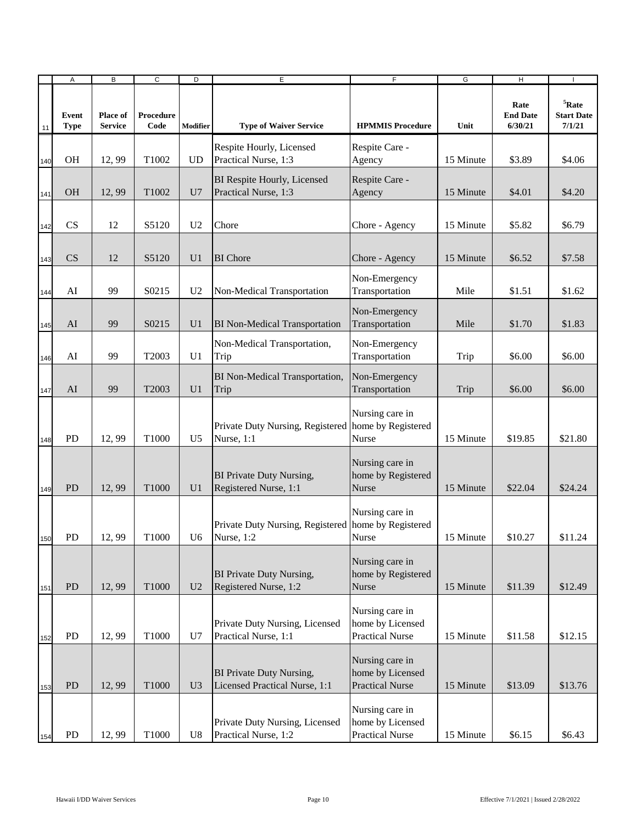|     | Α                    | B                                 | $\overline{c}$    | D              | Е                                                                   | F                                                             | G         | H                                  |                                              |
|-----|----------------------|-----------------------------------|-------------------|----------------|---------------------------------------------------------------------|---------------------------------------------------------------|-----------|------------------------------------|----------------------------------------------|
| 11  | Event<br><b>Type</b> | <b>Place of</b><br><b>Service</b> | Procedure<br>Code | Modifier       | <b>Type of Waiver Service</b>                                       | <b>HPMMIS Procedure</b>                                       | Unit      | Rate<br><b>End Date</b><br>6/30/21 | ${}^{5}$ Rate<br><b>Start Date</b><br>7/1/21 |
| 140 | OH                   | 12,99                             | T1002             | <b>UD</b>      | Respite Hourly, Licensed<br>Practical Nurse, 1:3                    | Respite Care -<br>Agency                                      | 15 Minute | \$3.89                             | \$4.06                                       |
| 141 | <b>OH</b>            | 12,99                             | T <sub>1002</sub> | U7             | BI Respite Hourly, Licensed<br>Practical Nurse, 1:3                 | Respite Care -<br>Agency                                      | 15 Minute | \$4.01                             | \$4.20                                       |
| 142 | CS                   | 12                                | S5120             | U <sub>2</sub> | Chore                                                               | Chore - Agency                                                | 15 Minute | \$5.82                             | \$6.79                                       |
| 143 | <b>CS</b>            | 12                                | S5120             | U <sub>1</sub> | <b>BI</b> Chore                                                     | Chore - Agency                                                | 15 Minute | \$6.52                             | \$7.58                                       |
| 144 | AI                   | 99                                | S0215             | U <sub>2</sub> | Non-Medical Transportation                                          | Non-Emergency<br>Transportation                               | Mile      | \$1.51                             | \$1.62                                       |
| 145 | AI                   | 99                                | S0215             | U <sub>1</sub> | <b>BI</b> Non-Medical Transportation                                | Non-Emergency<br>Transportation                               | Mile      | \$1.70                             | \$1.83                                       |
| 146 | AI                   | 99                                | T2003             | U <sub>1</sub> | Non-Medical Transportation,<br>Trip                                 | Non-Emergency<br>Transportation                               | Trip      | \$6.00                             | \$6.00                                       |
| 147 | AI                   | 99                                | T2003             | U <sub>1</sub> | BI Non-Medical Transportation,<br>Trip                              | Non-Emergency<br>Transportation                               | Trip      | \$6.00                             | \$6.00                                       |
| 148 | PD                   | 12,99                             | T1000             | U <sub>5</sub> | Private Duty Nursing, Registered home by Registered<br>Nurse, 1:1   | Nursing care in<br>Nurse                                      | 15 Minute | \$19.85                            | \$21.80                                      |
| 149 | <b>PD</b>            | 12,99                             | T1000             | U <sub>1</sub> | BI Private Duty Nursing,<br>Registered Nurse, 1:1                   | Nursing care in<br>home by Registered<br>Nurse                | 15 Minute | \$22.04                            | \$24.24                                      |
| 150 | <b>PD</b>            | 12,99                             | T <sub>1000</sub> | U6             | Private Duty Nursing, Registered home by Registered<br>Nurse, $1:2$ | Nursing care in<br><b>Nurse</b>                               | 15 Minute | \$10.27                            | \$11.24                                      |
| 151 | PD                   | 12,99                             | T1000             | U <sub>2</sub> | BI Private Duty Nursing,<br>Registered Nurse, 1:2                   | Nursing care in<br>home by Registered<br>Nurse                | 15 Minute | \$11.39                            | \$12.49                                      |
| 152 | PD                   | 12,99                             | T1000             | U7             | Private Duty Nursing, Licensed<br>Practical Nurse, 1:1              | Nursing care in<br>home by Licensed<br><b>Practical Nurse</b> | 15 Minute | \$11.58                            | \$12.15                                      |
| 153 | PD                   | 12,99                             | T1000             | U3             | BI Private Duty Nursing,<br>Licensed Practical Nurse, 1:1           | Nursing care in<br>home by Licensed<br><b>Practical Nurse</b> | 15 Minute | \$13.09                            | \$13.76                                      |
| 154 | PD                   | 12,99                             | T1000             | U8             | Private Duty Nursing, Licensed<br>Practical Nurse, 1:2              | Nursing care in<br>home by Licensed<br><b>Practical Nurse</b> | 15 Minute | \$6.15                             | \$6.43                                       |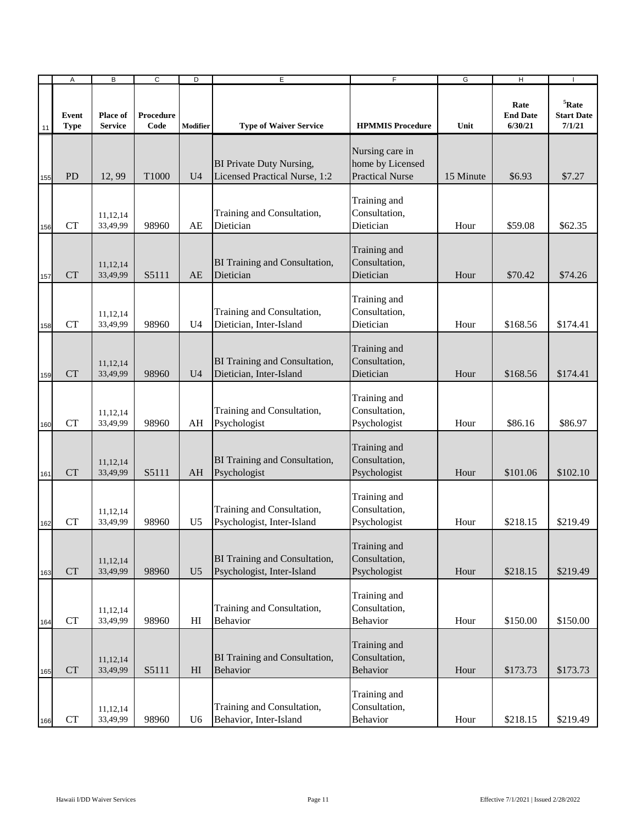|     | Α                    | B                          | $\overline{c}$    | D              | E                                                                  | $\overline{F}$                                                | G         | $\overline{H}$                     | $\overline{\phantom{a}}$                     |
|-----|----------------------|----------------------------|-------------------|----------------|--------------------------------------------------------------------|---------------------------------------------------------------|-----------|------------------------------------|----------------------------------------------|
| 11  | Event<br><b>Type</b> | Place of<br><b>Service</b> | Procedure<br>Code | Modifier       | <b>Type of Waiver Service</b>                                      | <b>HPMMIS Procedure</b>                                       | Unit      | Rate<br><b>End Date</b><br>6/30/21 | ${}^{5}$ Rate<br><b>Start Date</b><br>7/1/21 |
| 155 | <b>PD</b>            | 12, 99                     | T1000             | U <sub>4</sub> | <b>BI Private Duty Nursing,</b><br>Licensed Practical Nurse, 1:2   | Nursing care in<br>home by Licensed<br><b>Practical Nurse</b> | 15 Minute | \$6.93                             | \$7.27                                       |
| 156 | <b>CT</b>            | 11,12,14<br>33,49,99       | 98960             | AE             | Training and Consultation,<br>Dietician                            | Training and<br>Consultation,<br>Dietician                    | Hour      | \$59.08                            | \$62.35                                      |
| 157 | <b>CT</b>            | 11,12,14<br>33,49,99       | S5111             | AE             | <b>BI Training and Consultation,</b><br>Dietician                  | Training and<br>Consultation,<br>Dietician                    | Hour      | \$70.42                            | \$74.26                                      |
| 158 | <b>CT</b>            | 11,12,14<br>33,49,99       | 98960             | U <sub>4</sub> | Training and Consultation,<br>Dietician, Inter-Island              | Training and<br>Consultation,<br>Dietician                    | Hour      | \$168.56                           | \$174.41                                     |
| 159 | <b>CT</b>            | 11,12,14<br>33,49,99       | 98960             | U4             | <b>BI Training and Consultation,</b><br>Dietician, Inter-Island    | Training and<br>Consultation,<br>Dietician                    | Hour      | \$168.56                           | \$174.41                                     |
| 160 | <b>CT</b>            | 11,12,14<br>33,49,99       | 98960             | AH             | Training and Consultation,<br>Psychologist                         | Training and<br>Consultation,<br>Psychologist                 | Hour      | \$86.16                            | \$86.97                                      |
| 161 | <b>CT</b>            | 11,12,14<br>33,49,99       | S5111             | AH             | <b>BI Training and Consultation,</b><br>Psychologist               | Training and<br>Consultation,<br>Psychologist                 | Hour      | \$101.06                           | \$102.10                                     |
| 162 | <b>CT</b>            | 11,12,14<br>33,49,99       | 98960             | U <sub>5</sub> | Training and Consultation,<br>Psychologist, Inter-Island           | Training and<br>Consultation,<br>Psychologist                 | Hour      | \$218.15                           | \$219.49                                     |
| 163 | CT                   | 11,12,14<br>33,49,99       | 98960             | U <sub>5</sub> | <b>BI</b> Training and Consultation,<br>Psychologist, Inter-Island | Training and<br>Consultation,<br>Psychologist                 | Hour      | \$218.15                           | \$219.49                                     |
| 164 | CT                   | 11,12,14<br>33,49,99       | 98960             | HI             | Training and Consultation,<br><b>Behavior</b>                      | Training and<br>Consultation,<br><b>Behavior</b>              | Hour      | \$150.00                           | \$150.00                                     |
| 165 | <b>CT</b>            | 11,12,14<br>33,49,99       | S5111             | H <sub>I</sub> | <b>BI Training and Consultation,</b><br>Behavior                   | Training and<br>Consultation,<br><b>Behavior</b>              | Hour      | \$173.73                           | \$173.73                                     |
| 166 | CT                   | 11,12,14<br>33,49,99       | 98960             | U <sub>6</sub> | Training and Consultation,<br>Behavior, Inter-Island               | Training and<br>Consultation,<br>Behavior                     | Hour      | \$218.15                           | \$219.49                                     |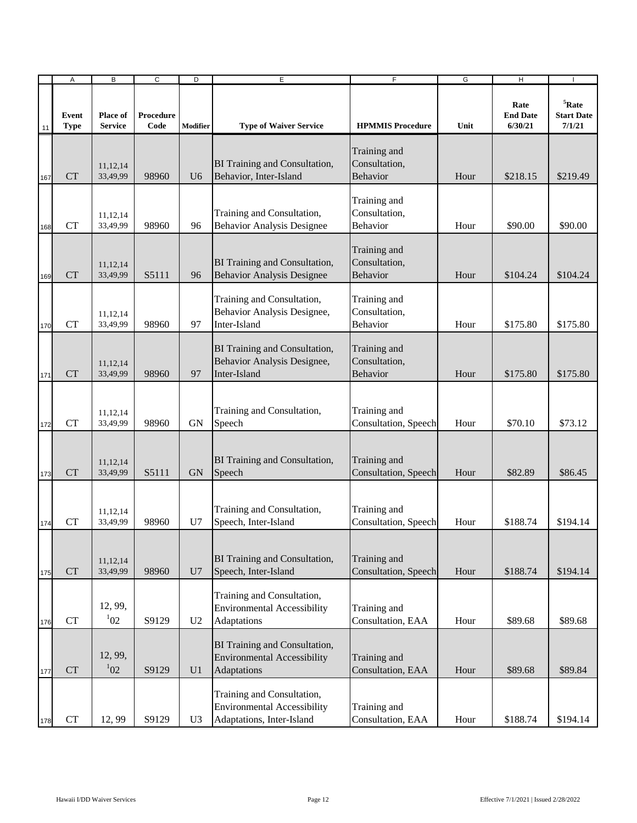|     | Α                    | B                          | $\overline{c}$    | D              | E                                                                                             | $\overline{F}$                                   | G    | $\overline{H}$                     | $\overline{\phantom{a}}$                     |
|-----|----------------------|----------------------------|-------------------|----------------|-----------------------------------------------------------------------------------------------|--------------------------------------------------|------|------------------------------------|----------------------------------------------|
| 11  | Event<br><b>Type</b> | Place of<br><b>Service</b> | Procedure<br>Code | Modifier       | <b>Type of Waiver Service</b>                                                                 | <b>HPMMIS Procedure</b>                          | Unit | Rate<br><b>End Date</b><br>6/30/21 | ${}^{5}$ Rate<br><b>Start Date</b><br>7/1/21 |
| 167 | <b>CT</b>            | 11,12,14<br>33,49,99       | 98960             | U <sub>6</sub> | <b>BI</b> Training and Consultation,<br>Behavior, Inter-Island                                | Training and<br>Consultation,<br><b>Behavior</b> | Hour | \$218.15                           | \$219.49                                     |
| 168 | <b>CT</b>            | 11,12,14<br>33,49,99       | 98960             | 96             | Training and Consultation,<br><b>Behavior Analysis Designee</b>                               | Training and<br>Consultation,<br>Behavior        | Hour | \$90.00                            | \$90.00                                      |
| 169 | <b>CT</b>            | 11,12,14<br>33,49,99       | S5111             | 96             | <b>BI Training and Consultation,</b><br><b>Behavior Analysis Designee</b>                     | Training and<br>Consultation,<br><b>Behavior</b> | Hour | \$104.24                           | \$104.24                                     |
| 170 | <b>CT</b>            | 11,12,14<br>33,49,99       | 98960             | 97             | Training and Consultation,<br>Behavior Analysis Designee,<br>Inter-Island                     | Training and<br>Consultation,<br><b>Behavior</b> | Hour | \$175.80                           | \$175.80                                     |
| 171 | <b>CT</b>            | 11,12,14<br>33,49,99       | 98960             | 97             | <b>BI Training and Consultation,</b><br>Behavior Analysis Designee,<br>Inter-Island           | Training and<br>Consultation,<br><b>Behavior</b> | Hour | \$175.80                           | \$175.80                                     |
| 172 | <b>CT</b>            | 11,12,14<br>33,49,99       | 98960             | <b>GN</b>      | Training and Consultation,<br>Speech                                                          | Training and<br>Consultation, Speech             | Hour | \$70.10                            | \$73.12                                      |
| 173 | <b>CT</b>            | 11,12,14<br>33,49,99       | S5111             | <b>GN</b>      | <b>BI</b> Training and Consultation,<br>Speech                                                | Training and<br>Consultation, Speech             | Hour | \$82.89                            | \$86.45                                      |
| 174 | <b>CT</b>            | 11,12,14<br>33,49,99       | 98960             | U7             | Training and Consultation,<br>Speech, Inter-Island                                            | Training and<br>Consultation, Speech             | Hour | \$188.74                           | \$194.14                                     |
| 175 | CT                   | 11,12,14<br>33,49,99       | 98960             | U7             | BI Training and Consultation,<br>Speech, Inter-Island                                         | Training and<br>Consultation, Speech             | Hour | \$188.74                           | \$194.14                                     |
| 176 | <b>CT</b>            | 12, 99,<br>$1_{02}$        | S9129             | U <sub>2</sub> | Training and Consultation,<br><b>Environmental Accessibility</b><br>Adaptations               | Training and<br>Consultation, EAA                | Hour | \$89.68                            | \$89.68                                      |
| 177 | ${\cal C}{\cal T}$   | 12, 99,<br>$1_{02}$        | S9129             | U <sub>1</sub> | BI Training and Consultation,<br><b>Environmental Accessibility</b><br>Adaptations            | Training and<br>Consultation, EAA                | Hour | \$89.68                            | \$89.84                                      |
| 178 | ${\cal C}{\cal T}$   | 12,99                      | S9129             | U <sub>3</sub> | Training and Consultation,<br><b>Environmental Accessibility</b><br>Adaptations, Inter-Island | Training and<br>Consultation, EAA                | Hour | \$188.74                           | \$194.14                                     |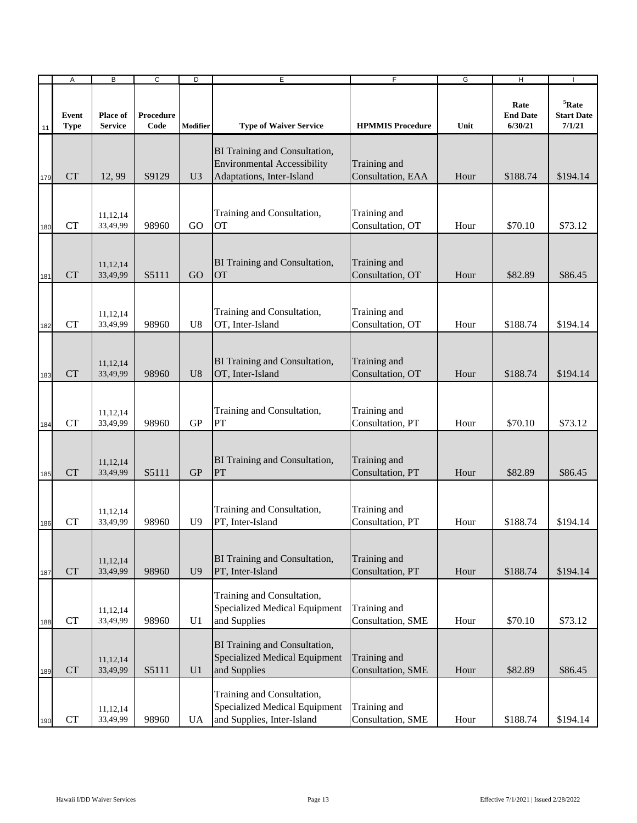|     | Α                    | B                          | $\overline{c}$    | D              | E                                                                                                | $\overline{F}$                    | G    | $\overline{H}$                     | $\overline{1}$                               |
|-----|----------------------|----------------------------|-------------------|----------------|--------------------------------------------------------------------------------------------------|-----------------------------------|------|------------------------------------|----------------------------------------------|
| 11  | Event<br><b>Type</b> | Place of<br><b>Service</b> | Procedure<br>Code | Modifier       | <b>Type of Waiver Service</b>                                                                    | <b>HPMMIS Procedure</b>           | Unit | Rate<br><b>End Date</b><br>6/30/21 | ${}^{5}$ Rate<br><b>Start Date</b><br>7/1/21 |
| 179 | <b>CT</b>            | 12,99                      | S9129             | U <sub>3</sub> | BI Training and Consultation,<br><b>Environmental Accessibility</b><br>Adaptations, Inter-Island | Training and<br>Consultation, EAA | Hour | \$188.74                           | \$194.14                                     |
| 180 | <b>CT</b>            | 11,12,14<br>33,49,99       | 98960             | GO             | Training and Consultation,<br><b>OT</b>                                                          | Training and<br>Consultation, OT  | Hour | \$70.10                            | \$73.12                                      |
| 181 | <b>CT</b>            | 11,12,14<br>33,49,99       | S5111             | GO             | BI Training and Consultation,<br><b>OT</b>                                                       | Training and<br>Consultation, OT  | Hour | \$82.89                            | \$86.45                                      |
| 182 | <b>CT</b>            | 11,12,14<br>33,49,99       | 98960             | U <sub>8</sub> | Training and Consultation,<br>OT, Inter-Island                                                   | Training and<br>Consultation, OT  | Hour | \$188.74                           | \$194.14                                     |
| 183 | <b>CT</b>            | 11,12,14<br>33,49,99       | 98960             | U <sub>8</sub> | BI Training and Consultation,<br>OT, Inter-Island                                                | Training and<br>Consultation, OT  | Hour | \$188.74                           | \$194.14                                     |
| 184 | <b>CT</b>            | 11,12,14<br>33,49,99       | 98960             | <b>GP</b>      | Training and Consultation,<br>PT                                                                 | Training and<br>Consultation, PT  | Hour | \$70.10                            | \$73.12                                      |
| 185 | <b>CT</b>            | 11,12,14<br>33,49,99       | S5111             | <b>GP</b>      | BI Training and Consultation,<br>PT                                                              | Training and<br>Consultation, PT  | Hour | \$82.89                            | \$86.45                                      |
| 186 | <b>CT</b>            | 11,12,14<br>33,49,99       | 98960             | U <sub>9</sub> | Training and Consultation,<br>PT, Inter-Island                                                   | Training and<br>Consultation, PT  | Hour | \$188.74                           | \$194.14                                     |
| 187 | CT                   | 11,12,14<br>33,49,99       | 98960             | U <sub>9</sub> | BI Training and Consultation,<br>PT, Inter-Island                                                | Training and<br>Consultation, PT  | Hour | \$188.74                           | \$194.14                                     |
| 188 | CT                   | 11,12,14<br>33,49,99       | 98960             | U <sub>1</sub> | Training and Consultation,<br>Specialized Medical Equipment<br>and Supplies                      | Training and<br>Consultation, SME | Hour | \$70.10                            | \$73.12                                      |
| 189 | ${\cal C}{\cal T}$   | 11,12,14<br>33,49,99       | S5111             | U <sub>1</sub> | BI Training and Consultation,<br>Specialized Medical Equipment<br>and Supplies                   | Training and<br>Consultation, SME | Hour | \$82.89                            | \$86.45                                      |
| 190 | CT                   | 11,12,14<br>33,49,99       | 98960             | UA             | Training and Consultation,<br>Specialized Medical Equipment<br>and Supplies, Inter-Island        | Training and<br>Consultation, SME | Hour | \$188.74                           | \$194.14                                     |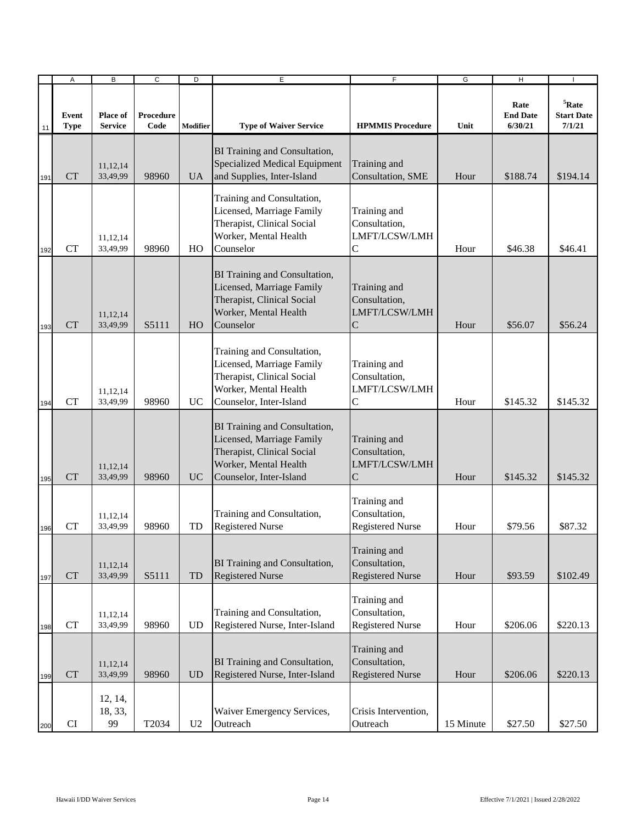|     | Α                    | $\overline{B}$                    | $\overline{c}$    | $\overline{D}$  | $\overline{E}$                                                                                                                               | $\overline{F}$                                                   | G         | $\overline{H}$                     |                                              |
|-----|----------------------|-----------------------------------|-------------------|-----------------|----------------------------------------------------------------------------------------------------------------------------------------------|------------------------------------------------------------------|-----------|------------------------------------|----------------------------------------------|
| 11  | Event<br><b>Type</b> | <b>Place of</b><br><b>Service</b> | Procedure<br>Code | <b>Modifier</b> | <b>Type of Waiver Service</b>                                                                                                                | <b>HPMMIS Procedure</b>                                          | Unit      | Rate<br><b>End Date</b><br>6/30/21 | ${}^{5}$ Rate<br><b>Start Date</b><br>7/1/21 |
| 191 | <b>CT</b>            | 11,12,14<br>33,49,99              | 98960             | <b>UA</b>       | BI Training and Consultation,<br>Specialized Medical Equipment<br>and Supplies, Inter-Island                                                 | Training and<br>Consultation, SME                                | Hour      | \$188.74                           | \$194.14                                     |
| 192 | <b>CT</b>            | 11,12,14<br>33,49,99              | 98960             | HO              | Training and Consultation,<br>Licensed, Marriage Family<br>Therapist, Clinical Social<br>Worker, Mental Health<br>Counselor                  | Training and<br>Consultation,<br>LMFT/LCSW/LMH<br>$\mathbf C$    | Hour      | \$46.38                            | \$46.41                                      |
| 193 | <b>CT</b>            | 11,12,14<br>33,49,99              | S5111             | HO              | BI Training and Consultation,<br>Licensed, Marriage Family<br>Therapist, Clinical Social<br>Worker, Mental Health<br>Counselor               | Training and<br>Consultation,<br>LMFT/LCSW/LMH<br>$\mathbf C$    | Hour      | \$56.07                            | \$56.24                                      |
| 194 | <b>CT</b>            | 11,12,14<br>33,49,99              | 98960             | UC              | Training and Consultation,<br>Licensed, Marriage Family<br>Therapist, Clinical Social<br>Worker, Mental Health<br>Counselor, Inter-Island    | Training and<br>Consultation,<br>LMFT/LCSW/LMH<br>$\mathsf{C}$   | Hour      | \$145.32                           | \$145.32                                     |
| 195 | <b>CT</b>            | 11,12,14<br>33,49,99              | 98960             | <b>UC</b>       | BI Training and Consultation,<br>Licensed, Marriage Family<br>Therapist, Clinical Social<br>Worker, Mental Health<br>Counselor, Inter-Island | Training and<br>Consultation,<br>LMFT/LCSW/LMH<br>$\overline{C}$ | Hour      | \$145.32                           | \$145.32                                     |
| 196 | <b>CT</b>            | 11,12,14<br>33,49,99              | 98960             | TD              | Training and Consultation,<br><b>Registered Nurse</b>                                                                                        | Training and<br>Consultation,<br><b>Registered Nurse</b>         | Hour      | \$79.56                            | \$87.32                                      |
| 197 | CT                   | 11,12,14<br>33,49,99              | S5111             | TD              | <b>BI Training and Consultation,</b><br><b>Registered Nurse</b>                                                                              | Training and<br>Consultation,<br><b>Registered Nurse</b>         | Hour      | \$93.59                            | \$102.49                                     |
| 198 | ${\cal C}{\cal T}$   | 11,12,14<br>33,49,99              | 98960             | <b>UD</b>       | Training and Consultation,<br>Registered Nurse, Inter-Island                                                                                 | Training and<br>Consultation,<br><b>Registered Nurse</b>         | Hour      | \$206.06                           | \$220.13                                     |
| 199 | CT                   | 11,12,14<br>33,49,99              | 98960             | <b>UD</b>       | BI Training and Consultation,<br>Registered Nurse, Inter-Island                                                                              | Training and<br>Consultation,<br><b>Registered Nurse</b>         | Hour      | \$206.06                           | \$220.13                                     |
| 200 | CI                   | 12, 14,<br>18, 33,<br>99          | T2034             | U <sub>2</sub>  | Waiver Emergency Services,<br>Outreach                                                                                                       | Crisis Intervention,<br>Outreach                                 | 15 Minute | \$27.50                            | \$27.50                                      |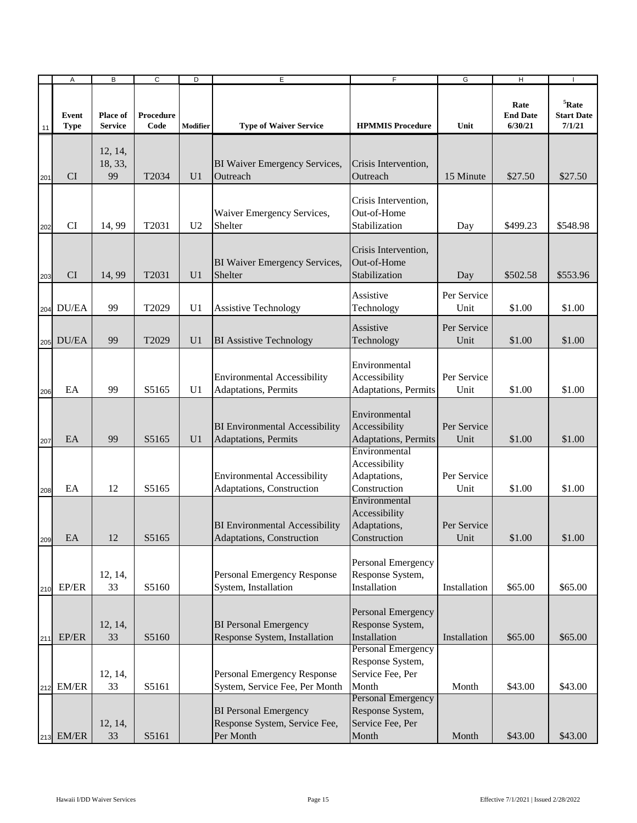|     | Α                    | B                                 | $\overline{c}$    | D              | $\overline{E}$                                                             | $\overline{F}$                                                                                   | G                   | $\overline{H}$                     |                                              |
|-----|----------------------|-----------------------------------|-------------------|----------------|----------------------------------------------------------------------------|--------------------------------------------------------------------------------------------------|---------------------|------------------------------------|----------------------------------------------|
| 11  | Event<br><b>Type</b> | <b>Place of</b><br><b>Service</b> | Procedure<br>Code | Modifier       | <b>Type of Waiver Service</b>                                              | <b>HPMMIS Procedure</b>                                                                          | Unit                | Rate<br><b>End Date</b><br>6/30/21 | ${}^{5}$ Rate<br><b>Start Date</b><br>7/1/21 |
| 201 | <b>CI</b>            | 12, 14,<br>18, 33,<br>99          | T <sub>2034</sub> | U <sub>1</sub> | BI Waiver Emergency Services,<br>Outreach                                  | Crisis Intervention,<br>Outreach                                                                 | 15 Minute           | \$27.50                            | \$27.50                                      |
| 202 | <b>CI</b>            | 14,99                             | T2031             | U <sub>2</sub> | Waiver Emergency Services,<br>Shelter                                      | Crisis Intervention,<br>Out-of-Home<br>Stabilization                                             | Day                 | \$499.23                           | \$548.98                                     |
| 203 | <b>CI</b>            | 14, 99                            | T2031             | U <sub>1</sub> | BI Waiver Emergency Services,<br>Shelter                                   | Crisis Intervention,<br>Out-of-Home<br>Stabilization                                             | Day                 | \$502.58                           | \$553.96                                     |
|     | 204 DU/EA            | 99                                | T2029             | U1             | <b>Assistive Technology</b>                                                | Assistive<br>Technology                                                                          | Per Service<br>Unit | \$1.00                             | \$1.00                                       |
| 205 | DU/EA                | 99                                | T <sub>2029</sub> | U <sub>1</sub> | <b>BI</b> Assistive Technology                                             | Assistive<br>Technology                                                                          | Per Service<br>Unit | \$1.00                             | \$1.00                                       |
| 206 | EA                   | 99                                | S5165             | U <sub>1</sub> | <b>Environmental Accessibility</b><br>Adaptations, Permits                 | Environmental<br>Accessibility<br>Adaptations, Permits                                           | Per Service<br>Unit | \$1.00                             | \$1.00                                       |
| 207 | EA                   | 99                                | S5165             | U <sub>1</sub> | <b>BI</b> Environmental Accessibility<br>Adaptations, Permits              | Environmental<br>Accessibility<br>Adaptations, Permits                                           | Per Service<br>Unit | \$1.00                             | \$1.00                                       |
| 208 | EA                   | 12                                | S5165             |                | <b>Environmental Accessibility</b><br>Adaptations, Construction            | Environmental<br>Accessibility<br>Adaptations,<br>Construction                                   | Per Service<br>Unit | \$1.00                             | \$1.00                                       |
| 209 | EA                   | 12                                | S5165             |                | <b>BI</b> Environmental Accessibility<br>Adaptations, Construction         | Environmental<br>Accessibility<br>Adaptations,<br>Construction                                   | Per Service<br>Unit | \$1.00                             | \$1.00                                       |
| 210 | EP/ER                | 12, 14,<br>33                     | S5160             |                | Personal Emergency Response<br>System, Installation                        | Personal Emergency<br>Response System,<br>Installation                                           | Installation        | \$65.00                            | \$65.00                                      |
| 211 | EP/ER                | 12, 14,<br>33                     | S5160             |                | <b>BI</b> Personal Emergency<br>Response System, Installation              | Personal Emergency<br>Response System,<br>Installation                                           | Installation        | \$65.00                            | \$65.00                                      |
| 212 | EM/ER                | 12, 14,<br>33                     | S5161             |                | Personal Emergency Response<br>System, Service Fee, Per Month              | <b>Personal Emergency</b><br>Response System,<br>Service Fee, Per<br>Month<br>Personal Emergency | Month               | \$43.00                            | \$43.00                                      |
|     | 213 EM/ER            | 12, 14,<br>33                     | S5161             |                | <b>BI</b> Personal Emergency<br>Response System, Service Fee,<br>Per Month | Response System,<br>Service Fee, Per<br>Month                                                    | Month               | \$43.00                            | \$43.00                                      |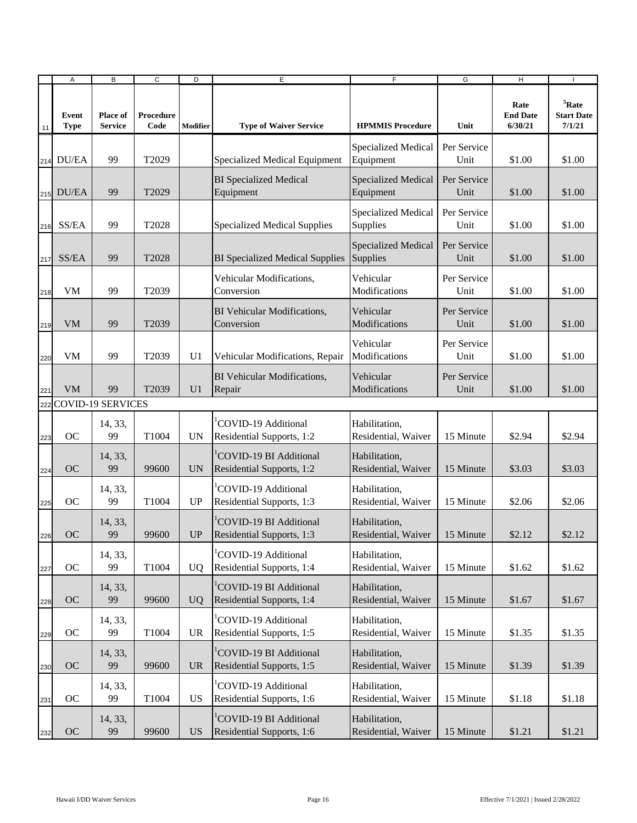|     | Α                    | B                          | C                 | D               | E                                                          | F                                    | G                   | Н                                  |                                              |
|-----|----------------------|----------------------------|-------------------|-----------------|------------------------------------------------------------|--------------------------------------|---------------------|------------------------------------|----------------------------------------------|
| 11  | Event<br><b>Type</b> | Place of<br><b>Service</b> | Procedure<br>Code | <b>Modifier</b> | <b>Type of Waiver Service</b>                              | <b>HPMMIS Procedure</b>              | Unit                | Rate<br><b>End Date</b><br>6/30/21 | ${}^{5}$ Rate<br><b>Start Date</b><br>7/1/21 |
|     | 214 DU/EA            | 99                         | T2029             |                 | Specialized Medical Equipment                              | Specialized Medical<br>Equipment     | Per Service<br>Unit | \$1.00                             | \$1.00                                       |
|     | 215 DU/EA            | 99                         | T2029             |                 | <b>BI</b> Specialized Medical<br>Equipment                 | Specialized Medical<br>Equipment     | Per Service<br>Unit | \$1.00                             | \$1.00                                       |
| 216 | SS/EA                | 99                         | T2028             |                 | <b>Specialized Medical Supplies</b>                        | Specialized Medical<br>Supplies      | Per Service<br>Unit | \$1.00                             | \$1.00                                       |
| 217 | SS/EA                | 99                         | T2028             |                 | <b>BI</b> Specialized Medical Supplies                     | Specialized Medical<br>Supplies      | Per Service<br>Unit | \$1.00                             | \$1.00                                       |
| 218 | <b>VM</b>            | 99                         | T2039             |                 | Vehicular Modifications,<br>Conversion                     | Vehicular<br>Modifications           | Per Service<br>Unit | \$1.00                             | \$1.00                                       |
| 219 | <b>VM</b>            | 99                         | T2039             |                 | BI Vehicular Modifications,<br>Conversion                  | Vehicular<br>Modifications           | Per Service<br>Unit | \$1.00                             | \$1.00                                       |
| 220 | <b>VM</b>            | 99                         | T2039             | U <sub>1</sub>  | Vehicular Modifications, Repair                            | Vehicular<br>Modifications           | Per Service<br>Unit | \$1.00                             | \$1.00                                       |
| 221 | <b>VM</b>            | 99                         | T2039             | U1              | BI Vehicular Modifications,<br>Repair                      | Vehicular<br>Modifications           | Per Service<br>Unit | \$1.00                             | \$1.00                                       |
| 222 |                      | <b>COVID-19 SERVICES</b>   |                   |                 |                                                            |                                      |                     |                                    |                                              |
| 223 | <b>OC</b>            | 14, 33,<br>99              | T1004             | <b>UN</b>       | COVID-19 Additional<br>Residential Supports, 1:2           | Habilitation,<br>Residential, Waiver | 15 Minute           | \$2.94                             | \$2.94                                       |
| 224 | <b>OC</b>            | 14, 33,<br>99              | 99600             | <b>UN</b>       | COVID-19 BI Additional<br>Residential Supports, 1:2        | Habilitation,<br>Residential, Waiver | 15 Minute           | \$3.03                             | \$3.03                                       |
| 225 | <b>OC</b>            | 14, 33,<br>99              | T1004             | UP              | COVID-19 Additional<br>Residential Supports, 1:3           | Habilitation,<br>Residential, Waiver | 15 Minute           | \$2.06                             | \$2.06                                       |
| 226 | <b>OC</b>            | 14, 33,<br>99              | 99600             | <b>UP</b>       | <b>COVID-19 BI Additional</b><br>Residential Supports, 1:3 | Habilitation,<br>Residential, Waiver | 15 Minute           | \$2.12                             | \$2.12                                       |
| 227 | OC                   | 14, 33,<br>99              | T1004             | <b>UQ</b>       | COVID-19 Additional<br>Residential Supports, 1:4           | Habilitation,<br>Residential, Waiver | 15 Minute           | \$1.62                             | \$1.62                                       |
| 228 | <b>OC</b>            | 14, 33,<br>99              | 99600             | <b>UQ</b>       | COVID-19 BI Additional<br>Residential Supports, 1:4        | Habilitation,<br>Residential, Waiver | 15 Minute           | \$1.67                             | \$1.67                                       |
| 229 | OC                   | 14, 33,<br>99              | T1004             | <b>UR</b>       | COVID-19 Additional<br>Residential Supports, 1:5           | Habilitation,<br>Residential, Waiver | 15 Minute           | \$1.35                             | \$1.35                                       |
| 230 | OC                   | 14, 33,<br>99              | 99600             | <b>UR</b>       | COVID-19 BI Additional<br>Residential Supports, 1:5        | Habilitation,<br>Residential, Waiver | 15 Minute           | \$1.39                             | \$1.39                                       |
| 231 | OC                   | 14, 33,<br>99              | T1004             | <b>US</b>       | COVID-19 Additional<br>Residential Supports, 1:6           | Habilitation,<br>Residential, Waiver | 15 Minute           | \$1.18                             | \$1.18                                       |
| 232 | OC                   | 14, 33,<br>99              | 99600             | <b>US</b>       | COVID-19 BI Additional<br>Residential Supports, 1:6        | Habilitation,<br>Residential, Waiver | 15 Minute           | \$1.21                             | \$1.21                                       |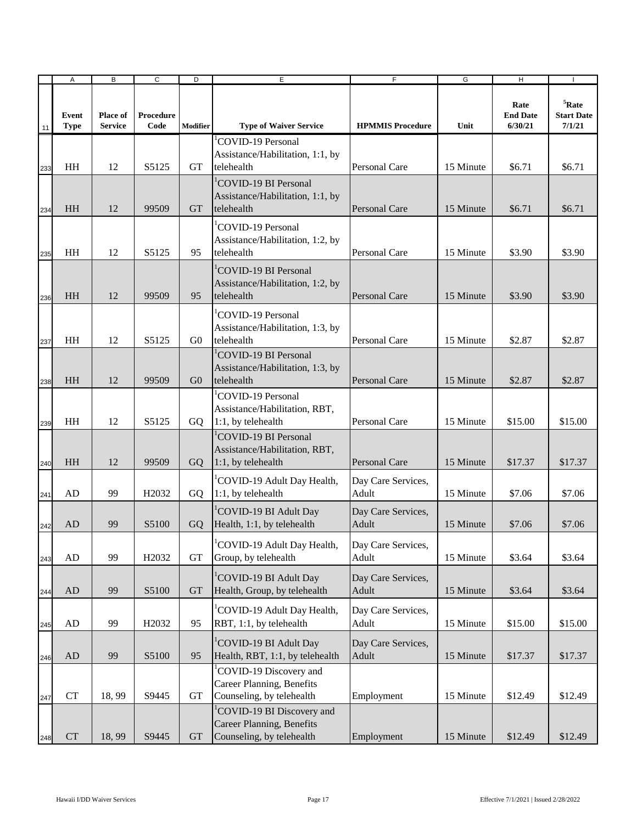|     | $\boldsymbol{\mathsf{A}}$ | B                          | $\overline{c}$     | D              | E                                                                                        | $\overline{F}$              | G         | $\overline{H}$                     |                                              |
|-----|---------------------------|----------------------------|--------------------|----------------|------------------------------------------------------------------------------------------|-----------------------------|-----------|------------------------------------|----------------------------------------------|
| 11  | Event<br><b>Type</b>      | Place of<br><b>Service</b> | Procedure<br>Code  | Modifier       | <b>Type of Waiver Service</b>                                                            | <b>HPMMIS Procedure</b>     | Unit      | Rate<br><b>End Date</b><br>6/30/21 | ${}^{5}$ Rate<br><b>Start Date</b><br>7/1/21 |
| 233 | HH                        | 12                         | S5125              | GТ             | COVID-19 Personal<br>Assistance/Habilitation, 1:1, by<br>telehealth                      | Personal Care               | 15 Minute | \$6.71                             | \$6.71                                       |
| 234 | HH                        | 12                         | 99509              | <b>GT</b>      | <sup>1</sup> COVID-19 BI Personal<br>Assistance/Habilitation, 1:1, by<br>telehealth      | Personal Care               | 15 Minute | \$6.71                             | \$6.71                                       |
| 235 | HH                        | 12                         | S5125              | 95             | <sup>'</sup> COVID-19 Personal<br>Assistance/Habilitation, 1:2, by<br>telehealth         | Personal Care               | 15 Minute | \$3.90                             | \$3.90                                       |
| 236 | HH                        | 12                         | 99509              | 95             | COVID-19 BI Personal<br>Assistance/Habilitation, 1:2, by<br>telehealth                   | Personal Care               | 15 Minute | \$3.90                             | \$3.90                                       |
| 237 | HH                        | 12                         | S5125              | G <sub>0</sub> | <b>COVID-19 Personal</b><br>Assistance/Habilitation, 1:3, by<br>telehealth               | Personal Care               | 15 Minute | \$2.87                             | \$2.87                                       |
| 238 | HH                        | 12                         | 99509              | G <sub>0</sub> | <sup>1</sup> COVID-19 BI Personal<br>Assistance/Habilitation, 1:3, by<br>telehealth      | <b>Personal Care</b>        | 15 Minute | \$2.87                             | \$2.87                                       |
| 239 | HH                        | 12                         | S5125              | GQ             | <sup>1</sup> COVID-19 Personal<br>Assistance/Habilitation, RBT,<br>1:1, by telehealth    | Personal Care               | 15 Minute | \$15.00                            | \$15.00                                      |
| 240 | <b>HH</b>                 | 12                         | 99509              | GO             | <sup>1</sup> COVID-19 BI Personal<br>Assistance/Habilitation, RBT,<br>1:1, by telehealth | <b>Personal Care</b>        | 15 Minute | \$17.37                            | \$17.37                                      |
| 241 | AD                        | 99                         | H <sub>2</sub> 032 | GO             | <sup>1</sup> COVID-19 Adult Day Health,<br>1:1, by telehealth                            | Day Care Services,<br>Adult | 15 Minute | \$7.06                             | \$7.06                                       |
| 242 | AD                        | 99                         | S <sub>5</sub> 100 | GO             | <sup>1</sup> COVID-19 BI Adult Day<br>Health, 1:1, by telehealth                         | Day Care Services,<br>Adult | 15 Minute | \$7.06                             | \$7.06                                       |
| 243 | ${\rm AD}$                | 99                         | H <sub>2032</sub>  | <b>GT</b>      | COVID-19 Adult Day Health,<br>Group, by telehealth                                       | Day Care Services,<br>Adult | 15 Minute | \$3.64                             | \$3.64                                       |
| 244 | ${\rm AD}$                | 99                         | S5100              | <b>GT</b>      | <sup>1</sup> COVID-19 BI Adult Day<br>Health, Group, by telehealth                       | Day Care Services,<br>Adult | 15 Minute | \$3.64                             | \$3.64                                       |
| 245 | AD                        | 99                         | H2032              | 95             | COVID-19 Adult Day Health,<br>RBT, 1:1, by telehealth                                    | Day Care Services,<br>Adult | 15 Minute | \$15.00                            | \$15.00                                      |
| 246 | AD                        | 99                         | S5100              | 95             | <sup>1</sup> COVID-19 BI Adult Day<br>Health, RBT, 1:1, by telehealth                    | Day Care Services,<br>Adult | 15 Minute | \$17.37                            | \$17.37                                      |
| 247 | CT                        | 18,99                      | S9445              | GT             | COVID-19 Discovery and<br>Career Planning, Benefits<br>Counseling, by telehealth         | Employment                  | 15 Minute | \$12.49                            | \$12.49                                      |
| 248 | ${\cal C}{\cal T}$        | 18,99                      | S9445              | <b>GT</b>      | COVID-19 BI Discovery and<br>Career Planning, Benefits<br>Counseling, by telehealth      | Employment                  | 15 Minute | \$12.49                            | \$12.49                                      |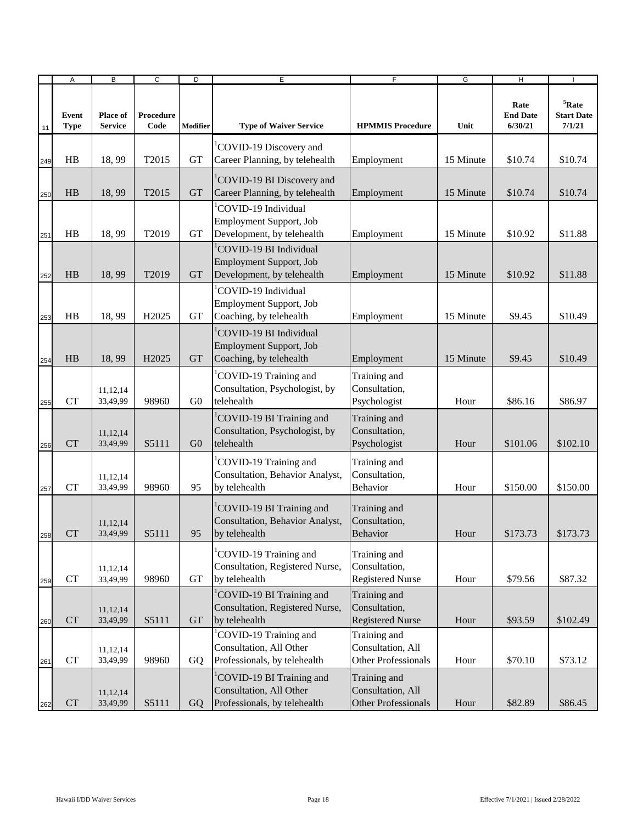|     | Α                    | B                          | C                 | D              | E                                                                                            | $\overline{F}$                                                  | G         | H                                  |                                              |
|-----|----------------------|----------------------------|-------------------|----------------|----------------------------------------------------------------------------------------------|-----------------------------------------------------------------|-----------|------------------------------------|----------------------------------------------|
| 11  | Event<br><b>Type</b> | Place of<br><b>Service</b> | Procedure<br>Code | Modifier       | <b>Type of Waiver Service</b>                                                                | <b>HPMMIS Procedure</b>                                         | Unit      | Rate<br><b>End Date</b><br>6/30/21 | ${}^{5}$ Rate<br><b>Start Date</b><br>7/1/21 |
| 249 | HB                   | 18,99                      | T2015             | <b>GT</b>      | COVID-19 Discovery and<br>Career Planning, by telehealth                                     | Employment                                                      | 15 Minute | \$10.74                            | \$10.74                                      |
| 250 | HB                   | 18,99                      | T2015             | <b>GT</b>      | <sup>1</sup> COVID-19 BI Discovery and<br>Career Planning, by telehealth                     | Employment                                                      | 15 Minute | \$10.74                            | \$10.74                                      |
| 251 | HB                   | 18,99                      | T2019             | <b>GT</b>      | COVID-19 Individual<br>Employment Support, Job<br>Development, by telehealth                 | Employment                                                      | 15 Minute | \$10.92                            | \$11.88                                      |
| 252 | HB                   | 18,99                      | T2019             | <b>GT</b>      | <sup>1</sup> COVID-19 BI Individual<br>Employment Support, Job<br>Development, by telehealth | Employment                                                      | 15 Minute | \$10.92                            | \$11.88                                      |
| 253 | HB                   | 18,99                      | H <sub>2025</sub> | <b>GT</b>      | COVID-19 Individual<br>Employment Support, Job<br>Coaching, by telehealth                    | Employment                                                      | 15 Minute | \$9.45                             | \$10.49                                      |
| 254 | HB                   | 18,99                      | H <sub>2025</sub> | <b>GT</b>      | <sup>1</sup> COVID-19 BI Individual<br>Employment Support, Job<br>Coaching, by telehealth    | Employment                                                      | 15 Minute | \$9.45                             | \$10.49                                      |
| 255 | CT                   | 11,12,14<br>33,49,99       | 98960             | G <sub>0</sub> | COVID-19 Training and<br>Consultation, Psychologist, by<br>telehealth                        | Training and<br>Consultation,<br>Psychologist                   | Hour      | \$86.16                            | \$86.97                                      |
| 256 | <b>CT</b>            | 11,12,14<br>33,49,99       | S5111             | G <sub>0</sub> | <sup>1</sup> COVID-19 BI Training and<br>Consultation, Psychologist, by<br>telehealth        | Training and<br>Consultation,<br>Psychologist                   | Hour      | \$101.06                           | \$102.10                                     |
| 257 | <b>CT</b>            | 11,12,14<br>33,49,99       | 98960             | 95             | COVID-19 Training and<br>Consultation, Behavior Analyst,<br>by telehealth                    | Training and<br>Consultation,<br>Behavior                       | Hour      | \$150.00                           | \$150.00                                     |
| 258 | <b>CT</b>            | 11, 12, 14<br>33,49,99     | S5111             | 95             | COVID-19 BI Training and<br>Consultation, Behavior Analyst,<br>by telehealth                 | Training and<br>Consultation,<br>Behavior                       | Hour      | \$173.73                           | \$173.73                                     |
| 259 | <b>CT</b>            | 11,12,14<br>33,49,99       | 98960             | GT             | COVID-19 Training and<br>Consultation, Registered Nurse,<br>by telehealth                    | Training and<br>Consultation,<br><b>Registered Nurse</b>        | Hour      | \$79.56                            | \$87.32                                      |
| 260 | ${\cal C}{\cal T}$   | 11,12,14<br>33,49,99       | S5111             | <b>GT</b>      | COVID-19 BI Training and<br>Consultation, Registered Nurse,<br>by telehealth                 | Training and<br>Consultation,<br><b>Registered Nurse</b>        | Hour      | \$93.59                            | \$102.49                                     |
| 261 | ${\cal C}{\cal T}$   | 11,12,14<br>33,49,99       | 98960             | GQ             | COVID-19 Training and<br>Consultation, All Other<br>Professionals, by telehealth             | Training and<br>Consultation, All<br><b>Other Professionals</b> | Hour      | \$70.10                            | \$73.12                                      |
| 262 | CT                   | 11,12,14<br>33,49,99       | S5111             | GQ             | COVID-19 BI Training and<br>Consultation, All Other<br>Professionals, by telehealth          | Training and<br>Consultation, All<br>Other Professionals        | Hour      | \$82.89                            | \$86.45                                      |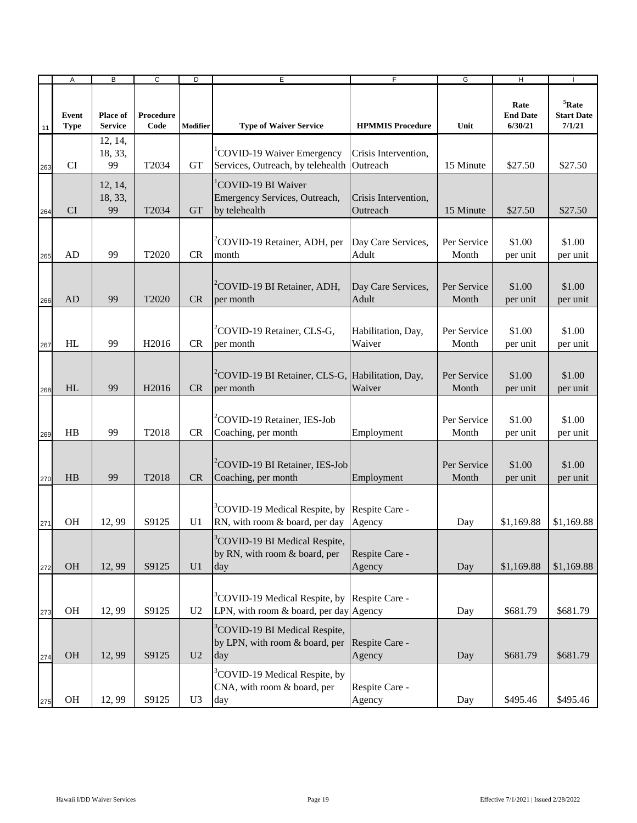|     | Α                    | B                                 | C                 | D              | E                                                                                                    | F                                | G                    | H                                  |                                              |
|-----|----------------------|-----------------------------------|-------------------|----------------|------------------------------------------------------------------------------------------------------|----------------------------------|----------------------|------------------------------------|----------------------------------------------|
| 11  | Event<br><b>Type</b> | <b>Place of</b><br><b>Service</b> | Procedure<br>Code | Modifier       | <b>Type of Waiver Service</b>                                                                        | <b>HPMMIS Procedure</b>          | Unit                 | Rate<br><b>End Date</b><br>6/30/21 | ${}^{5}$ Rate<br><b>Start Date</b><br>7/1/21 |
| 263 | CI                   | 12, 14,<br>18, 33,<br>99          | T2034             | <b>GT</b>      | <sup>1</sup> COVID-19 Waiver Emergency<br>Services, Outreach, by telehealth                          | Crisis Intervention,<br>Outreach | 15 Minute            | \$27.50                            | \$27.50                                      |
| 264 | <b>CI</b>            | 12, 14,<br>18, 33,<br>99          | T2034             | <b>GT</b>      | <sup>1</sup> COVID-19 BI Waiver<br>Emergency Services, Outreach,<br>by telehealth                    | Crisis Intervention,<br>Outreach | 15 Minute            | \$27.50                            | \$27.50                                      |
| 265 | AD                   | 99                                | T2020             | <b>CR</b>      | <sup>2</sup> COVID-19 Retainer, ADH, per<br>month                                                    | Day Care Services,<br>Adult      | Per Service<br>Month | \$1.00<br>per unit                 | \$1.00<br>per unit                           |
| 266 | AD                   | 99                                | T2020             | <b>CR</b>      | <sup>2</sup> COVID-19 BI Retainer, ADH,<br>per month                                                 | Day Care Services,<br>Adult      | Per Service<br>Month | \$1.00<br>per unit                 | \$1.00<br>per unit                           |
| 267 | HL                   | 99                                | H <sub>2016</sub> | <b>CR</b>      | <sup>2</sup> COVID-19 Retainer, CLS-G,<br>per month                                                  | Habilitation, Day,<br>Waiver     | Per Service<br>Month | \$1.00<br>per unit                 | \$1.00<br>per unit                           |
| 268 | HL                   | 99                                | H <sub>2016</sub> | <b>CR</b>      | <sup>2</sup> COVID-19 BI Retainer, CLS-G, Habilitation, Day,<br>per month                            | Waiver                           | Per Service<br>Month | \$1.00<br>per unit                 | \$1.00<br>per unit                           |
| 269 | HB                   | 99                                | T2018             | <b>CR</b>      | <sup>2</sup> COVID-19 Retainer, IES-Job<br>Coaching, per month                                       | Employment                       | Per Service<br>Month | \$1.00<br>per unit                 | \$1.00<br>per unit                           |
| 270 | HB                   | 99                                | T2018             | <b>CR</b>      | <sup>2</sup> COVID-19 BI Retainer, IES-Job<br>Coaching, per month                                    | Employment                       | Per Service<br>Month | \$1.00<br>per unit                 | \$1.00<br>per unit                           |
| 271 | <b>OH</b>            | 12,99                             | S9125             | U1             | <sup>3</sup> COVID-19 Medical Respite, by Respite Care -<br>RN, with room & board, per day           | Agency                           | Day                  | \$1,169.88                         | \$1,169.88                                   |
| 272 | <b>OH</b>            | 12,99                             | S9125             | U1             | <sup>3</sup> COVID-19 BI Medical Respite,<br>by RN, with room & board, per<br>day                    | Respite Care -<br>Agency         | Day                  | \$1,169.88                         | \$1,169.88                                   |
| 273 | <b>OH</b>            | 12,99                             | S9125             | U <sub>2</sub> | <sup>3</sup> COVID-19 Medical Respite, by Respite Care -<br>LPN, with room $&$ board, per day Agency |                                  | Day                  | \$681.79                           | \$681.79                                     |
| 274 | <b>OH</b>            | 12,99                             | S9125             | U <sub>2</sub> | <sup>3</sup> COVID-19 BI Medical Respite,<br>by LPN, with room & board, per<br>day                   | Respite Care -<br>Agency         | Day                  | \$681.79                           | \$681.79                                     |
| 275 | OH                   | 12,99                             | S9125             | U <sub>3</sub> | <sup>3</sup> COVID-19 Medical Respite, by<br>CNA, with room & board, per<br>day                      | Respite Care -<br>Agency         | Day                  | \$495.46                           | \$495.46                                     |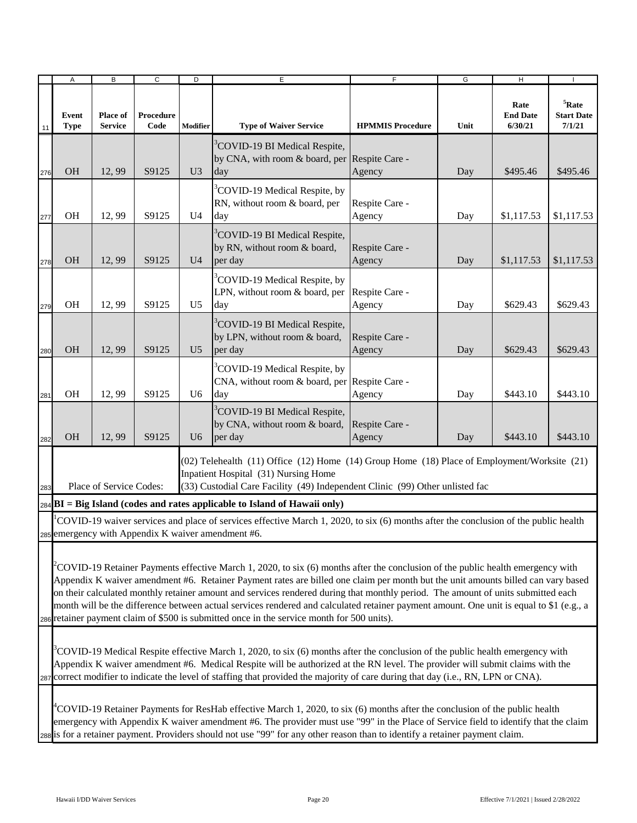|     | A                    | B                          | $\overline{c}$    | D              | E                                                                                                                                                                                                                    | $\overline{F}$           | G    | H                                  |                                              |  |  |
|-----|----------------------|----------------------------|-------------------|----------------|----------------------------------------------------------------------------------------------------------------------------------------------------------------------------------------------------------------------|--------------------------|------|------------------------------------|----------------------------------------------|--|--|
| 11  | Event<br><b>Type</b> | Place of<br><b>Service</b> | Procedure<br>Code | Modifier       | <b>Type of Waiver Service</b>                                                                                                                                                                                        | <b>HPMMIS Procedure</b>  | Unit | Rate<br><b>End Date</b><br>6/30/21 | ${}^{5}$ Rate<br><b>Start Date</b><br>7/1/21 |  |  |
| 276 | <b>OH</b>            | 12,99                      | S9125             | U <sub>3</sub> | <sup>3</sup> COVID-19 BI Medical Respite,<br>by CNA, with room & board, per<br>day                                                                                                                                   | Respite Care -<br>Agency | Day  | \$495.46                           | \$495.46                                     |  |  |
| 277 | <b>OH</b>            | 12,99                      | S9125             | $U_4$          | <sup>3</sup> COVID-19 Medical Respite, by<br>RN, without room & board, per<br>day                                                                                                                                    | Respite Care -<br>Agency | Day  | \$1,117.53                         | \$1,117.53                                   |  |  |
| 278 | <b>OH</b>            | 12,99                      | S9125             | U <sub>4</sub> | <sup>3</sup> COVID-19 BI Medical Respite,<br>by RN, without room & board,<br>per day                                                                                                                                 | Respite Care -<br>Agency | Day  | \$1,117.53                         | \$1,117.53                                   |  |  |
| 279 | <b>OH</b>            | 12,99                      | S9125             | U <sub>5</sub> | <sup>3</sup> COVID-19 Medical Respite, by<br>LPN, without room & board, per<br>day                                                                                                                                   | Respite Care -<br>Agency | Day  | \$629.43                           | \$629.43                                     |  |  |
| 280 | <b>OH</b>            | 12,99                      | S9125             | U <sub>5</sub> | <sup>3</sup> COVID-19 BI Medical Respite,<br>by LPN, without room & board,<br>per day                                                                                                                                | Respite Care -<br>Agency | Day  | \$629.43                           | \$629.43                                     |  |  |
| 281 | <b>OH</b>            | 12,99                      | S9125             | U <sub>6</sub> | <sup>3</sup> COVID-19 Medical Respite, by<br>CNA, without room & board, per<br>day                                                                                                                                   | Respite Care -<br>Agency | Day  | \$443.10                           | \$443.10                                     |  |  |
| 282 | <b>OH</b>            | 12,99                      | S9125             | U <sub>6</sub> | <sup>3</sup> COVID-19 BI Medical Respite,<br>by CNA, without room & board,<br>per day                                                                                                                                | Respite Care -<br>Agency | Day  | \$443.10                           | \$443.10                                     |  |  |
| 283 |                      | Place of Service Codes:    |                   |                | (02) Telehealth (11) Office (12) Home (14) Group Home (18) Place of Employment/Worksite (21)<br>Inpatient Hospital (31) Nursing Home<br>(33) Custodial Care Facility (49) Independent Clinic (99) Other unlisted fac |                          |      |                                    |                                              |  |  |
|     |                      |                            |                   |                | $_{284}$ BI = Big Island (codes and rates applicable to Island of Hawaii only)                                                                                                                                       |                          |      |                                    |                                              |  |  |
|     |                      |                            |                   |                | COVID-19 waiver services and place of services effective March 1, 2020, to six (6) months after the conclusion of the public health                                                                                  |                          |      |                                    |                                              |  |  |
|     |                      |                            |                   |                | 285 emergency with Appendix K waiver amendment #6.                                                                                                                                                                   |                          |      |                                    |                                              |  |  |
|     |                      |                            |                   |                |                                                                                                                                                                                                                      |                          |      |                                    |                                              |  |  |

286  $2$ COVID-19 Retainer Payments effective March 1, 2020, to six (6) months after the conclusion of the public health emergency with Appendix K waiver amendment #6. Retainer Payment rates are billed one claim per month but the unit amounts billed can vary based on their calculated monthly retainer amount and services rendered during that monthly period. The amount of units submitted each month will be the difference between actual services rendered and calculated retainer payment amount. One unit is equal to \$1 (e.g., a retainer payment claim of \$500 is submitted once in the service month for 500 units).

287  $3$ COVID-19 Medical Respite effective March 1, 2020, to six (6) months after the conclusion of the public health emergency with Appendix K waiver amendment #6. Medical Respite will be authorized at the RN level. The provider will submit claims with the correct modifier to indicate the level of staffing that provided the majority of care during that day (i.e., RN, LPN or CNA).

288  $^{4}$ COVID-19 Retainer Payments for ResHab effective March 1, 2020, to six (6) months after the conclusion of the public health emergency with Appendix K waiver amendment #6. The provider must use "99" in the Place of Service field to identify that the claim is for a retainer payment. Providers should not use "99" for any other reason than to identify a retainer payment claim.